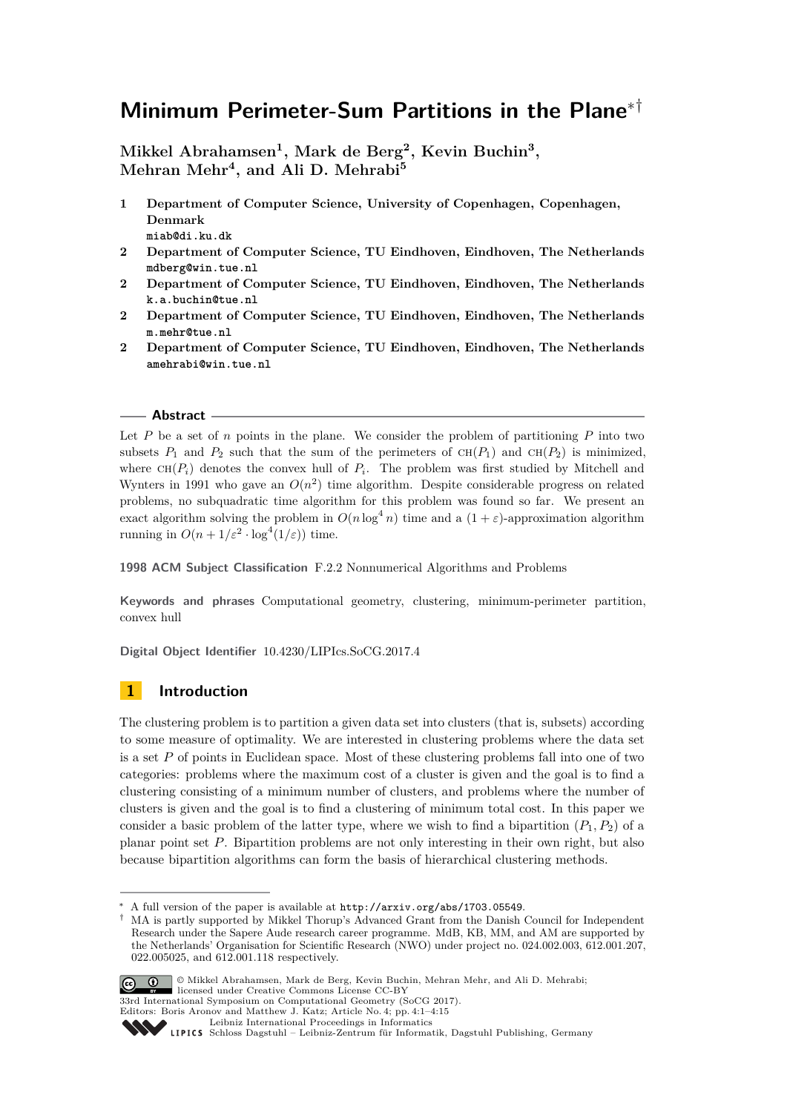# **Minimum Perimeter-Sum Partitions in the Plane**∗†

**Mikkel Abrahamsen<sup>1</sup> , Mark de Berg<sup>2</sup> , Kevin Buchin<sup>3</sup> , Mehran Mehr<sup>4</sup> , and Ali D. Mehrabi<sup>5</sup>**

- **1 Department of Computer Science, University of Copenhagen, Copenhagen, Denmark miab@di.ku.dk**
- **2 Department of Computer Science, TU Eindhoven, Eindhoven, The Netherlands mdberg@win.tue.nl**
- **2 Department of Computer Science, TU Eindhoven, Eindhoven, The Netherlands k.a.buchin@tue.nl**
- **2 Department of Computer Science, TU Eindhoven, Eindhoven, The Netherlands m.mehr@tue.nl**
- **2 Department of Computer Science, TU Eindhoven, Eindhoven, The Netherlands amehrabi@win.tue.nl**

### **Abstract**

Let  $P$  be a set of  $n$  points in the plane. We consider the problem of partitioning  $P$  into two subsets  $P_1$  and  $P_2$  such that the sum of the perimeters of  $CH(P_1)$  and  $CH(P_2)$  is minimized, where  $CH(P_i)$  denotes the convex hull of  $P_i$ . The problem was first studied by Mitchell and Wynters in 1991 who gave an  $O(n^2)$  time algorithm. Despite considerable progress on related problems, no subquadratic time algorithm for this problem was found so far. We present an exact algorithm solving the problem in  $O(n \log^4 n)$  time and a  $(1 + \varepsilon)$ -approximation algorithm running in  $O(n + 1/\varepsilon^2 \cdot \log^4(1/\varepsilon))$  time.

**1998 ACM Subject Classification** F.2.2 Nonnumerical Algorithms and Problems

**Keywords and phrases** Computational geometry, clustering, minimum-perimeter partition, convex hull

**Digital Object Identifier** [10.4230/LIPIcs.SoCG.2017.4](http://dx.doi.org/10.4230/LIPIcs.SoCG.2017.4)

# **1 Introduction**

The clustering problem is to partition a given data set into clusters (that is, subsets) according to some measure of optimality. We are interested in clustering problems where the data set is a set *P* of points in Euclidean space. Most of these clustering problems fall into one of two categories: problems where the maximum cost of a cluster is given and the goal is to find a clustering consisting of a minimum number of clusters, and problems where the number of clusters is given and the goal is to find a clustering of minimum total cost. In this paper we consider a basic problem of the latter type, where we wish to find a bipartition  $(P_1, P_2)$  of a planar point set *P*. Bipartition problems are not only interesting in their own right, but also because bipartition algorithms can form the basis of hierarchical clustering methods.

<sup>†</sup> MA is partly supported by Mikkel Thorup's Advanced Grant from the Danish Council for Independent Research under the Sapere Aude research career programme. MdB, KB, MM, and AM are supported by the Netherlands' Organisation for Scientific Research (NWO) under project no. 024.002.003, 612.001.207, 022.005025, and 612.001.118 respectively.



© Mikkel Abrahamsen, Mark de Berg, Kevin Buchin, Mehran Mehr, and Ali D. Mehrabi; licensed under Creative Commons License CC-BY

33rd International Symposium on Computational Geometry (SoCG 2017). Editors: Boris Aronov and Matthew J. Katz; Article No. 4; pp. 4:1–4[:15](#page-14-0)

A full version of the paper is available at  $http://arxiv.org/abs/1703.05549$ .

[Leibniz International Proceedings in Informatics](http://www.dagstuhl.de/lipics/)

Leibniz international riveredings in miximetrix<br>
LIPICS [Schloss Dagstuhl – Leibniz-Zentrum für Informatik, Dagstuhl Publishing, Germany](http://www.dagstuhl.de)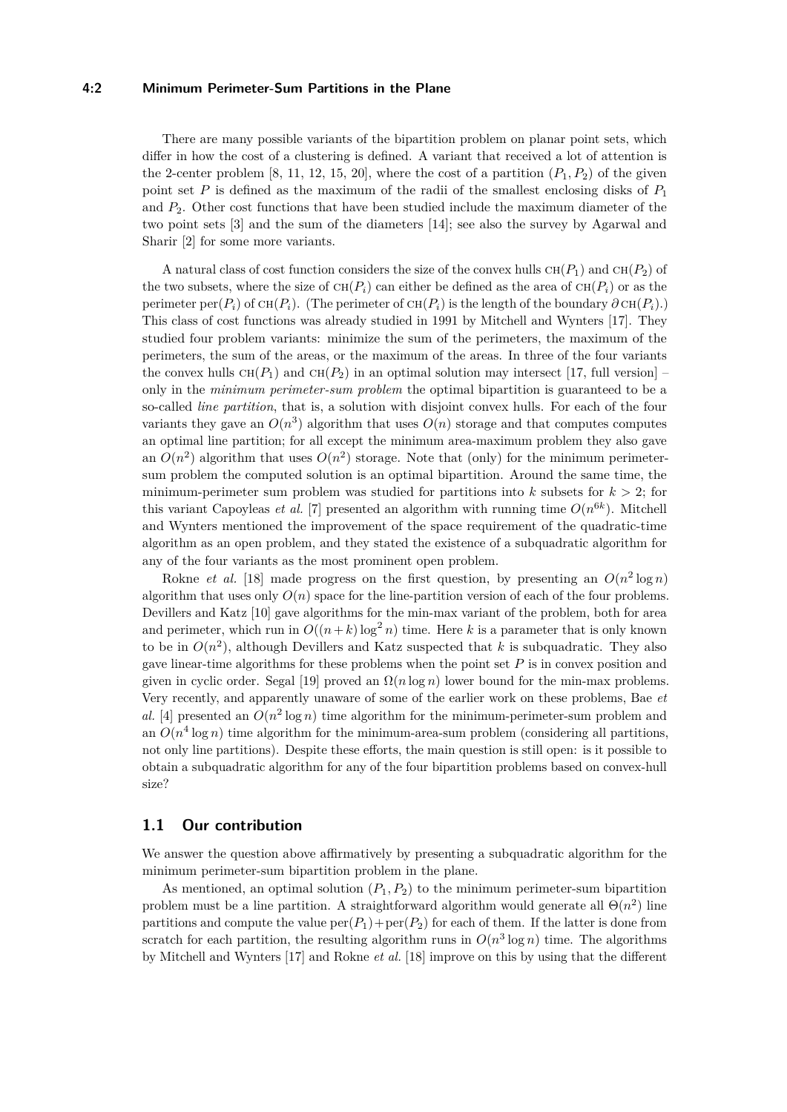# **4:2 Minimum Perimeter-Sum Partitions in the Plane**

There are many possible variants of the bipartition problem on planar point sets, which differ in how the cost of a clustering is defined. A variant that received a lot of attention is the 2-center problem [\[8,](#page-14-1) [11,](#page-14-2) [12,](#page-14-3) [15,](#page-14-4) [20\]](#page-14-5), where the cost of a partition  $(P_1, P_2)$  of the given point set *P* is defined as the maximum of the radii of the smallest enclosing disks of *P*<sup>1</sup> and *P*2. Other cost functions that have been studied include the maximum diameter of the two point sets [\[3\]](#page-14-6) and the sum of the diameters [\[14\]](#page-14-7); see also the survey by Agarwal and Sharir [\[2\]](#page-14-8) for some more variants.

A natural class of cost function considers the size of the convex hulls  $CH(P_1)$  and  $CH(P_2)$  of the two subsets, where the size of  $CH(P_i)$  can either be defined as the area of  $CH(P_i)$  or as the perimeter per( $P_i$ ) of  $CH(P_i)$ . (The perimeter of  $CH(P_i)$  is the length of the boundary  $\partial CH(P_i)$ .) This class of cost functions was already studied in 1991 by Mitchell and Wynters [\[17\]](#page-14-9). They studied four problem variants: minimize the sum of the perimeters, the maximum of the perimeters, the sum of the areas, or the maximum of the areas. In three of the four variants the convex hulls  $CH(P_1)$  and  $CH(P_2)$  in an optimal solution may intersect [\[17,](#page-14-9) full version] – only in the *minimum perimeter-sum problem* the optimal bipartition is guaranteed to be a so-called *line partition*, that is, a solution with disjoint convex hulls. For each of the four variants they gave an  $O(n^3)$  algorithm that uses  $O(n)$  storage and that computes computes an optimal line partition; for all except the minimum area-maximum problem they also gave an  $O(n^2)$  algorithm that uses  $O(n^2)$  storage. Note that (only) for the minimum perimetersum problem the computed solution is an optimal bipartition. Around the same time, the minimum-perimeter sum problem was studied for partitions into  $k$  subsets for  $k > 2$ ; for this variant Capoyleas *et al.* [\[7\]](#page-14-10) presented an algorithm with running time  $O(n^{6k})$ . Mitchell and Wynters mentioned the improvement of the space requirement of the quadratic-time algorithm as an open problem, and they stated the existence of a subquadratic algorithm for any of the four variants as the most prominent open problem.

Rokne *et al.* [\[18\]](#page-14-11) made progress on the first question, by presenting an  $O(n^2 \log n)$ algorithm that uses only  $O(n)$  space for the line-partition version of each of the four problems. Devillers and Katz [\[10\]](#page-14-12) gave algorithms for the min-max variant of the problem, both for area and perimeter, which run in  $O((n+k)\log^2 n)$  time. Here *k* is a parameter that is only known to be in  $O(n^2)$ , although Devillers and Katz suspected that *k* is subquadratic. They also gave linear-time algorithms for these problems when the point set *P* is in convex position and given in cyclic order. Segal [\[19\]](#page-14-13) proved an  $\Omega(n \log n)$  lower bound for the min-max problems. Very recently, and apparently unaware of some of the earlier work on these problems, Bae *et* al. [\[4\]](#page-14-14) presented an  $O(n^2 \log n)$  time algorithm for the minimum-perimeter-sum problem and an  $O(n^4 \log n)$  time algorithm for the minimum-area-sum problem (considering all partitions, not only line partitions). Despite these efforts, the main question is still open: is it possible to obtain a subquadratic algorithm for any of the four bipartition problems based on convex-hull size?

# **1.1 Our contribution**

We answer the question above affirmatively by presenting a subquadratic algorithm for the minimum perimeter-sum bipartition problem in the plane.

As mentioned, an optimal solution  $(P_1, P_2)$  to the minimum perimeter-sum bipartition problem must be a line partition. A straightforward algorithm would generate all  $\Theta(n^2)$  line partitions and compute the value  $per(P_1)+per(P_2)$  for each of them. If the latter is done from scratch for each partition, the resulting algorithm runs in  $O(n^3 \log n)$  time. The algorithms by Mitchell and Wynters [\[17\]](#page-14-9) and Rokne *et al.* [\[18\]](#page-14-11) improve on this by using that the different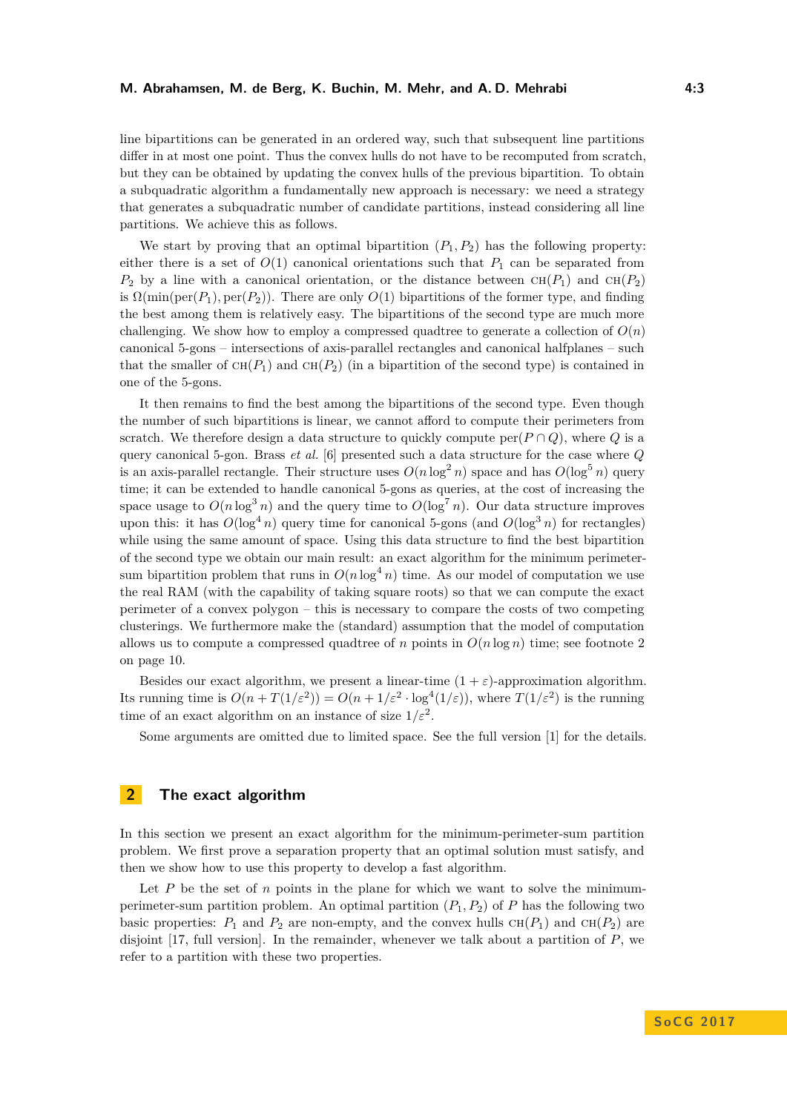line bipartitions can be generated in an ordered way, such that subsequent line partitions differ in at most one point. Thus the convex hulls do not have to be recomputed from scratch, but they can be obtained by updating the convex hulls of the previous bipartition. To obtain a subquadratic algorithm a fundamentally new approach is necessary: we need a strategy that generates a subquadratic number of candidate partitions, instead considering all line partitions. We achieve this as follows.

We start by proving that an optimal bipartition  $(P_1, P_2)$  has the following property: either there is a set of  $O(1)$  canonical orientations such that  $P_1$  can be separated from  $P_2$  by a line with a canonical orientation, or the distance between  $CH(P_1)$  and  $CH(P_2)$ is  $\Omega(\min(\text{per}(P_1), \text{per}(P_2))$ . There are only  $O(1)$  bipartitions of the former type, and finding the best among them is relatively easy. The bipartitions of the second type are much more challenging. We show how to employ a compressed quadtree to generate a collection of  $O(n)$ canonical 5-gons – intersections of axis-parallel rectangles and canonical halfplanes – such that the smaller of  $CH(P_1)$  and  $CH(P_2)$  (in a bipartition of the second type) is contained in one of the 5-gons.

It then remains to find the best among the bipartitions of the second type. Even though the number of such bipartitions is linear, we cannot afford to compute their perimeters from scratch. We therefore design a data structure to quickly compute  $\text{per}(P \cap Q)$ , where *Q* is a query canonical 5-gon. Brass *et al.* [\[6\]](#page-14-15) presented such a data structure for the case where *Q* is an axis-parallel rectangle. Their structure uses  $O(n \log^2 n)$  space and has  $O(\log^5 n)$  query time; it can be extended to handle canonical 5-gons as queries, at the cost of increasing the space usage to  $O(n \log^3 n)$  and the query time to  $O(\log^7 n)$ . Our data structure improves upon this: it has  $O(\log^4 n)$  query time for canonical 5-gons (and  $O(\log^3 n)$ ) for rectangles) while using the same amount of space. Using this data structure to find the best bipartition of the second type we obtain our main result: an exact algorithm for the minimum perimetersum bipartition problem that runs in  $O(n \log^4 n)$  time. As our model of computation we use the real RAM (with the capability of taking square roots) so that we can compute the exact perimeter of a convex polygon – this is necessary to compare the costs of two competing clusterings. We furthermore make the (standard) assumption that the model of computation allows us to compute a compressed quadtree of *n* points in  $O(n \log n)$  time; see footnote 2 on page 10.

Besides our exact algorithm, we present a linear-time  $(1 + \varepsilon)$ -approximation algorithm. Its running time is  $O(n + T(1/\varepsilon^2)) = O(n + 1/\varepsilon^2 \cdot \log^4(1/\varepsilon))$ , where  $T(1/\varepsilon^2)$  is the running time of an exact algorithm on an instance of size  $1/\varepsilon^2$ .

Some arguments are omitted due to limited space. See the full version [\[1\]](#page-14-16) for the details.

# **2 The exact algorithm**

In this section we present an exact algorithm for the minimum-perimeter-sum partition problem. We first prove a separation property that an optimal solution must satisfy, and then we show how to use this property to develop a fast algorithm.

Let *P* be the set of *n* points in the plane for which we want to solve the minimumperimeter-sum partition problem. An optimal partition  $(P_1, P_2)$  of *P* has the following two basic properties:  $P_1$  and  $P_2$  are non-empty, and the convex hulls  $CH(P_1)$  and  $CH(P_2)$  are disjoint [\[17,](#page-14-9) full version]. In the remainder, whenever we talk about a partition of *P*, we refer to a partition with these two properties.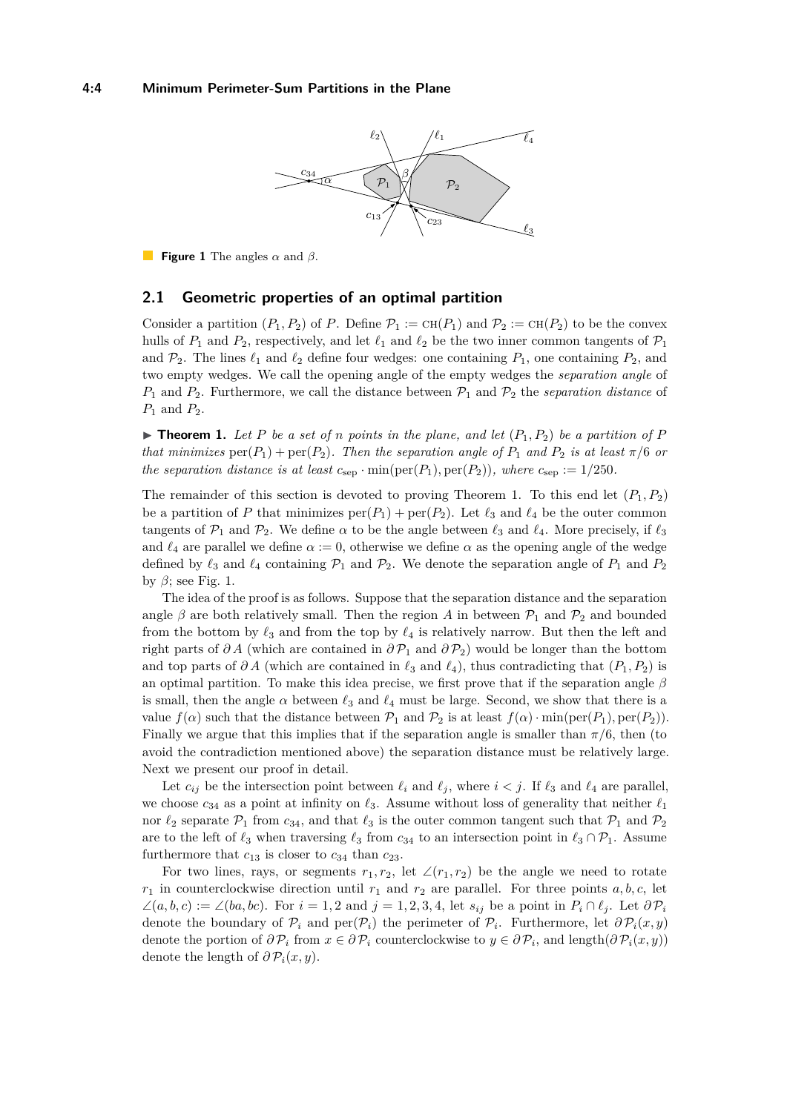<span id="page-3-1"></span>

**Figure 1** The angles *α* and *β*.

# **2.1 Geometric properties of an optimal partition**

Consider a partition  $(P_1, P_2)$  of *P*. Define  $\mathcal{P}_1 := \text{CH}(P_1)$  and  $\mathcal{P}_2 := \text{CH}(P_2)$  to be the convex hulls of  $P_1$  and  $P_2$ , respectively, and let  $\ell_1$  and  $\ell_2$  be the two inner common tangents of  $\mathcal{P}_1$ and  $\mathcal{P}_2$ . The lines  $\ell_1$  and  $\ell_2$  define four wedges: one containing  $P_1$ , one containing  $P_2$ , and two empty wedges. We call the opening angle of the empty wedges the *separation angle* of  $P_1$  and  $P_2$ . Furthermore, we call the distance between  $P_1$  and  $P_2$  the *separation distance* of *P*<sup>1</sup> and *P*2.

<span id="page-3-0"></span> $\triangleright$  **Theorem 1.** Let P be a set of *n* points in the plane, and let  $(P_1, P_2)$  be a partition of P *that minimizes*  $\text{per}(P_1) + \text{per}(P_2)$ *. Then the separation angle of*  $P_1$  *and*  $P_2$  *is at least*  $\pi/6$  *or the separation distance is at least*  $c_{\text{sep}} \cdot \min(\text{per}(P_1), \text{per}(P_2))$ *, where*  $c_{\text{sep}} := 1/250$ *.* 

The remainder of this section is devoted to proving Theorem [1.](#page-3-0) To this end let  $(P_1, P_2)$ be a partition of *P* that minimizes  $\text{per}(P_1) + \text{per}(P_2)$ . Let  $\ell_3$  and  $\ell_4$  be the outer common tangents of  $\mathcal{P}_1$  and  $\mathcal{P}_2$ . We define  $\alpha$  to be the angle between  $\ell_3$  and  $\ell_4$ . More precisely, if  $\ell_3$ and  $\ell_4$  are parallel we define  $\alpha := 0$ , otherwise we define  $\alpha$  as the opening angle of the wedge defined by  $\ell_3$  and  $\ell_4$  containing  $\mathcal{P}_1$  and  $\mathcal{P}_2$ . We denote the separation angle of  $P_1$  and  $P_2$ by  $\beta$ ; see Fig. [1.](#page-3-1)

The idea of the proof is as follows. Suppose that the separation distance and the separation angle  $\beta$  are both relatively small. Then the region *A* in between  $\mathcal{P}_1$  and  $\mathcal{P}_2$  and bounded from the bottom by  $\ell_3$  and from the top by  $\ell_4$  is relatively narrow. But then the left and right parts of  $\partial A$  (which are contained in  $\partial \mathcal{P}_1$  and  $\partial \mathcal{P}_2$ ) would be longer than the bottom and top parts of  $\partial A$  (which are contained in  $\ell_3$  and  $\ell_4$ ), thus contradicting that  $(P_1, P_2)$  is an optimal partition. To make this idea precise, we first prove that if the separation angle *β* is small, then the angle  $\alpha$  between  $\ell_3$  and  $\ell_4$  must be large. Second, we show that there is a value  $f(\alpha)$  such that the distance between  $\mathcal{P}_1$  and  $\mathcal{P}_2$  is at least  $f(\alpha) \cdot \min(\text{per}(P_1), \text{per}(P_2))$ . Finally we argue that this implies that if the separation angle is smaller than  $\pi/6$ , then (to avoid the contradiction mentioned above) the separation distance must be relatively large. Next we present our proof in detail.

Let  $c_{ij}$  be the intersection point between  $\ell_i$  and  $\ell_j$ , where  $i < j$ . If  $\ell_3$  and  $\ell_4$  are parallel, we choose  $c_{34}$  as a point at infinity on  $\ell_3$ . Assume without loss of generality that neither  $\ell_1$ nor  $\ell_2$  separate  $\mathcal{P}_1$  from  $c_{34}$ , and that  $\ell_3$  is the outer common tangent such that  $\mathcal{P}_1$  and  $\mathcal{P}_2$ are to the left of  $\ell_3$  when traversing  $\ell_3$  from  $c_{34}$  to an intersection point in  $\ell_3 \cap \mathcal{P}_1$ . Assume furthermore that  $c_{13}$  is closer to  $c_{34}$  than  $c_{23}$ .

For two lines, rays, or segments  $r_1, r_2$ , let  $\angle(r_1, r_2)$  be the angle we need to rotate  $r_1$  in counterclockwise direction until  $r_1$  and  $r_2$  are parallel. For three points  $a, b, c$ , let ∠(*a*,*b*,*c*) := ∠(*ba*,*bc*). For *i* = 1,2 and *j* = 1,2,3,4, let *s*<sub>*ij*</sub> be a point in  $P_i \nI$ <sub>i</sub>. Let  $\partial P_i$ denote the boundary of  $\mathcal{P}_i$  and  $\text{per}(\mathcal{P}_i)$  the perimeter of  $\mathcal{P}_i$ . Furthermore, let  $\partial \mathcal{P}_i(x, y)$ denote the portion of  $\partial \mathcal{P}_i$  from  $x \in \partial \mathcal{P}_i$  counterclockwise to  $y \in \partial \mathcal{P}_i$ , and length $(\partial \mathcal{P}_i(x, y))$ denote the length of  $\partial P_i(x, y)$ .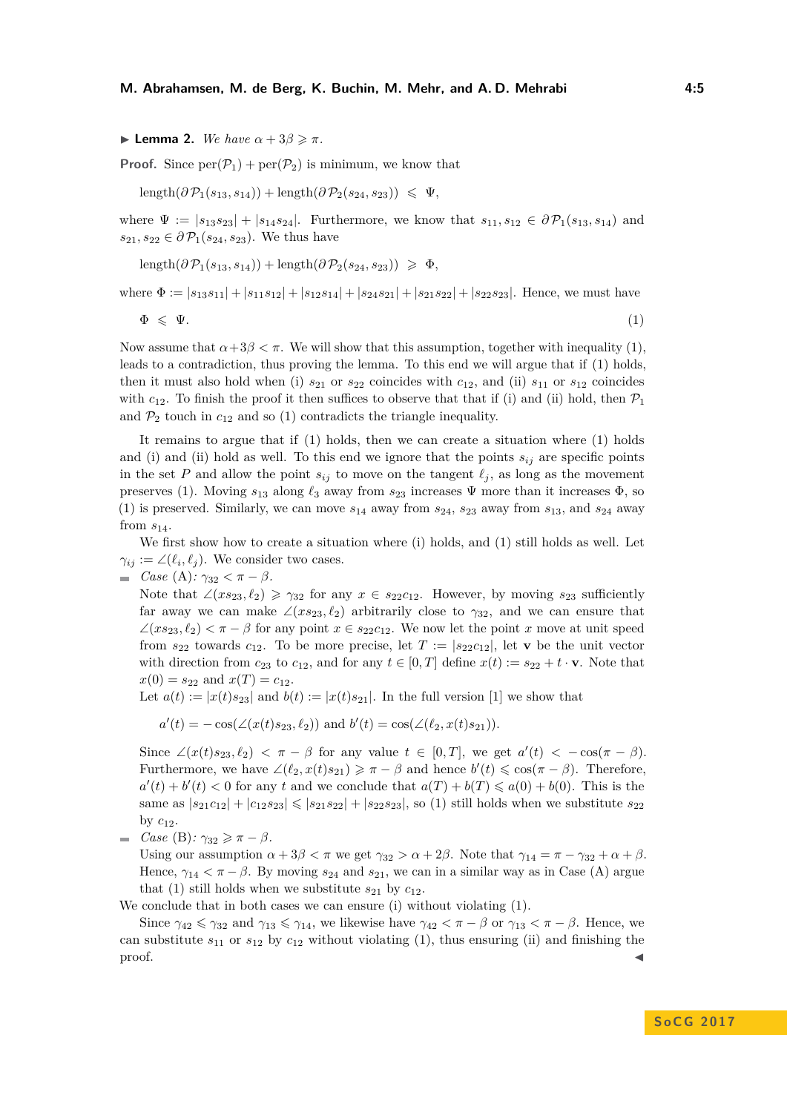<span id="page-4-1"></span>**I** Lemma 2. *We have*  $\alpha + 3\beta \geq \pi$ *.* 

**Proof.** Since  $\text{per}(\mathcal{P}_1) + \text{per}(\mathcal{P}_2)$  is minimum, we know that

$$
\text{length}(\partial \mathcal{P}_1(s_{13}, s_{14})) + \text{length}(\partial \mathcal{P}_2(s_{24}, s_{23})) \leq \Psi,
$$

where  $\Psi := |s_{13}s_{23}| + |s_{14}s_{24}|$ . Furthermore, we know that  $s_{11}, s_{12} \in \partial \mathcal{P}_1(s_{13}, s_{14})$  and  $s_{21}, s_{22} \in \partial \mathcal{P}_1(s_{24}, s_{23})$ . We thus have

length( $\partial \mathcal{P}_1(s_{13}, s_{14})$ ) + length( $\partial \mathcal{P}_2(s_{24}, s_{23})$ ) ≥  $\Phi$ *,* 

where  $\Phi := |s_{13}s_{11}| + |s_{11}s_{12}| + |s_{12}s_{14}| + |s_{24}s_{21}| + |s_{21}s_{22}| + |s_{22}s_{23}|$ . Hence, we must have

<span id="page-4-0"></span>
$$
\Phi \leqslant \Psi. \tag{1}
$$

Now assume that  $\alpha + 3\beta < \pi$ . We will show that this assumption, together with inequality [\(1\)](#page-4-0), leads to a contradiction, thus proving the lemma. To this end we will argue that if [\(1\)](#page-4-0) holds, then it must also hold when (i)  $s_{21}$  or  $s_{22}$  coincides with  $c_{12}$ , and (ii)  $s_{11}$  or  $s_{12}$  coincides with  $c_{12}$ . To finish the proof it then suffices to observe that that if (i) and (ii) hold, then  $\mathcal{P}_1$ and  $\mathcal{P}_2$  touch in  $c_{12}$  and so [\(1\)](#page-4-0) contradicts the triangle inequality.

It remains to argue that if [\(1\)](#page-4-0) holds, then we can create a situation where [\(1\)](#page-4-0) holds and (i) and (ii) hold as well. To this end we ignore that the points  $s_{ij}$  are specific points in the set *P* and allow the point  $s_{ij}$  to move on the tangent  $\ell_j$ , as long as the movement preserves [\(1\)](#page-4-0). Moving  $s_{13}$  along  $\ell_3$  away from  $s_{23}$  increases  $\Psi$  more than it increases  $\Phi$ , so  $(1)$  is preserved. Similarly, we can move  $s_{14}$  away from  $s_{24}$ ,  $s_{23}$  away from  $s_{13}$ , and  $s_{24}$  away from  $s_{14}$ .

We first show how to create a situation where (i) holds, and [\(1\)](#page-4-0) still holds as well. Let  $\gamma_{ij} := \angle(\ell_i, \ell_j)$ . We consider two cases.

 $\blacksquare$  *Case* (A):  $\gamma_{32} < \pi - \beta$ *.* 

Note that  $\angle (xs_{23}, \ell_2) \geq \gamma_{32}$  for any  $x \in s_{22}c_{12}$ . However, by moving  $s_{23}$  sufficiently far away we can make  $\angle (xs_{23}, \ell_2)$  arbitrarily close to  $\gamma_{32}$ , and we can ensure that  $\angle(x s_{23}, \ell_2) < \pi - \beta$  for any point  $x \in s_{22} c_{12}$ . We now let the point *x* move at unit speed from  $s_{22}$  towards  $c_{12}$ . To be more precise, let  $T := |s_{22}c_{12}|$ , let **v** be the unit vector with direction from  $c_{23}$  to  $c_{12}$ , and for any  $t \in [0, T]$  define  $x(t) := s_{22} + t \cdot \mathbf{v}$ . Note that  $x(0) = s_{22}$  and  $x(T) = c_{12}$ .

Let  $a(t) := |x(t) s_{23}|$  and  $b(t) := |x(t) s_{21}|$ . In the full version [\[1\]](#page-14-16) we show that

 $a'(t) = -\cos(\angle(x(t)s_{23}, \ell_2))$  and  $b'(t) = \cos(\angle(\ell_2, x(t)s_{21}))$ .

Since  $\angle(x(t)s_{23}, \ell_2) < \pi - \beta$  for any value  $t \in [0, T]$ , we get  $a'(t) < -\cos(\pi - \beta)$ . Furthermore, we have  $\angle(\ell_2, x(t) s_{21}) \geq \pi - \beta$  and hence  $b'(t) \leqslant \cos(\pi - \beta)$ . Therefore,  $a'(t) + b'(t) < 0$  for any *t* and we conclude that  $a(T) + b(T) \leq a(0) + b(0)$ . This is the same as  $|s_{21}c_{12}| + |c_{12}s_{23}| \leq |s_{21}s_{22}| + |s_{22}s_{23}|$ , so [\(1\)](#page-4-0) still holds when we substitute  $s_{22}$ by  $c_{12}$ .

 $\blacksquare$  *Case* (B):  $\gamma_{32} \geq \pi - \beta$ *.* 

Using our assumption  $\alpha + 3\beta < \pi$  we get  $\gamma_{32} > \alpha + 2\beta$ . Note that  $\gamma_{14} = \pi - \gamma_{32} + \alpha + \beta$ . Hence,  $\gamma_{14} < \pi - \beta$ . By moving  $s_{24}$  and  $s_{21}$ , we can in a similar way as in Case (A) argue that [\(1\)](#page-4-0) still holds when we substitute  $s_{21}$  by  $c_{12}$ .

We conclude that in both cases we can ensure (i) without violating [\(1\)](#page-4-0).

Since  $\gamma_{42} \leq \gamma_{32}$  and  $\gamma_{13} \leq \gamma_{14}$ , we likewise have  $\gamma_{42} < \pi - \beta$  or  $\gamma_{13} < \pi - \beta$ . Hence, we can substitute  $s_{11}$  or  $s_{12}$  by  $c_{12}$  without violating [\(1\)](#page-4-0), thus ensuring (ii) and finishing the  $\blacksquare$ proof.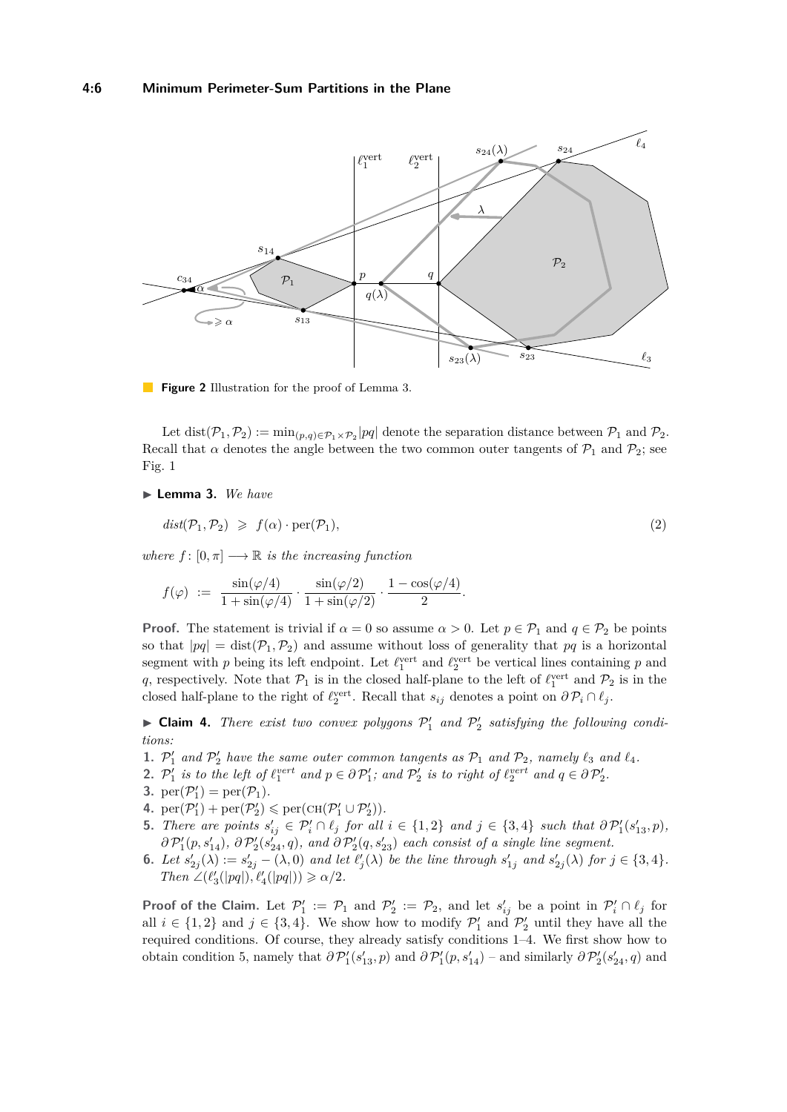<span id="page-5-4"></span>

**Figure 2** Illustration for the proof of Lemma [3.](#page-5-0)

Let  $dist(\mathcal{P}_1, \mathcal{P}_2) := \min_{(p,q)\in \mathcal{P}_1 \times \mathcal{P}_2} |pq|$  denote the separation distance between  $\mathcal{P}_1$  and  $\mathcal{P}_2$ . Recall that  $\alpha$  denotes the angle between the two common outer tangents of  $\mathcal{P}_1$  and  $\mathcal{P}_2$ ; see Fig. [1](#page-3-1)

<span id="page-5-0"></span>▶ **Lemma 3.** *We have* 

<span id="page-5-7"></span> $dist(\mathcal{P}_1, \mathcal{P}_2) \geq f(\alpha) \cdot \text{per}(\mathcal{P}_1)$ , (2)

*where*  $f: [0, \pi] \longrightarrow \mathbb{R}$  *is the increasing function* 

$$
f(\varphi) \ := \ \frac{\sin(\varphi/4)}{1+\sin(\varphi/4)} \cdot \frac{\sin(\varphi/2)}{1+\sin(\varphi/2)} \cdot \frac{1-\cos(\varphi/4)}{2}.
$$

**Proof.** The statement is trivial if  $\alpha = 0$  so assume  $\alpha > 0$ . Let  $p \in \mathcal{P}_1$  and  $q \in \mathcal{P}_2$  be points so that  $|pq| = \text{dist}(\mathcal{P}_1, \mathcal{P}_2)$  and assume without loss of generality that  $pq$  is a horizontal segment with *p* being its left endpoint. Let  $\ell_1^{\text{vert}}$  and  $\ell_2^{\text{vert}}$  be vertical lines containing *p* and q, respectively. Note that  $\mathcal{P}_1$  is in the closed half-plane to the left of  $\ell_1^{\text{vert}}$  and  $\mathcal{P}_2$  is in the closed half-plane to the right of  $\ell_2^{\text{vert}}$ . Recall that  $s_{ij}$  denotes a point on  $\partial \mathcal{P}_i \cap \ell_j$ .

 $\blacktriangleright$  **Claim 4.** *There exist two convex polygons*  $\mathcal{P}'_1$  *and*  $\mathcal{P}'_2$  *satisfying the following conditions:*

- <span id="page-5-1"></span>**1.**  $P'_1$  and  $P'_2$  have the same outer common tangents as  $P_1$  and  $P_2$ , namely  $\ell_3$  and  $\ell_4$ .
- <span id="page-5-6"></span>**2.**  $P'_1$  is to the left of  $\ell_1^{vert}$  and  $p \in \partial P'_1$ ; and  $P'_2$  is to right of  $\ell_2^{vert}$  and  $q \in \partial P'_2$ .
- <span id="page-5-8"></span>**3.**  $\mathrm{per}(\mathcal{P}_1') = \mathrm{per}(\mathcal{P}_1)$ .
- <span id="page-5-2"></span>4.  $\mathrm{per}(\mathcal{P}_1') + \mathrm{per}(\mathcal{P}_2') \leq \mathrm{per}(\mathrm{CH}(\mathcal{P}_1' \cup \mathcal{P}_2')).$
- <span id="page-5-3"></span>**5.** There are points  $s'_{ij} \in \mathcal{P}'_i \cap \ell_j$  for all  $i \in \{1,2\}$  and  $j \in \{3,4\}$  such that  $\partial \mathcal{P}'_1(s'_{13}, p)$ ,  $\partial P'_1(p, s'_{14}), \partial P'_2(s'_{24}, q)$ , and  $\partial P'_2(q, s'_{23})$  each consist of a single line segment.
- <span id="page-5-5"></span>**6.** Let  $s'_{2j}(\lambda) := s'_{2j} - (\lambda, 0)$  and let  $\ell'_{j}(\lambda)$  be the line through  $s'_{1j}$  and  $s'_{2j}(\lambda)$  for  $j \in \{3, 4\}$ .  $Then \angle (\ell_3'(|pq|), \ell_4'(|pq|)) \geq \alpha/2.$

**Proof of the Claim.** Let  $\mathcal{P}'_1 := \mathcal{P}_1$  and  $\mathcal{P}'_2 := \mathcal{P}_2$ , and let  $s'_{ij}$  be a point in  $\mathcal{P}'_i \cap \ell_j$  for all  $i \in \{1,2\}$  and  $j \in \{3,4\}$ . We show how to modify  $\mathcal{P}'_1$  and  $\mathcal{P}'_2$  until they have all the required conditions. Of course, they already satisfy conditions [1–](#page-5-1)[4.](#page-5-2) We first show how to obtain condition [5,](#page-5-3) namely that  $\partial P'_1(s'_{13}, p)$  and  $\partial P'_1(p, s'_{14})$  – and similarly  $\partial P'_2(s'_{24}, q)$  and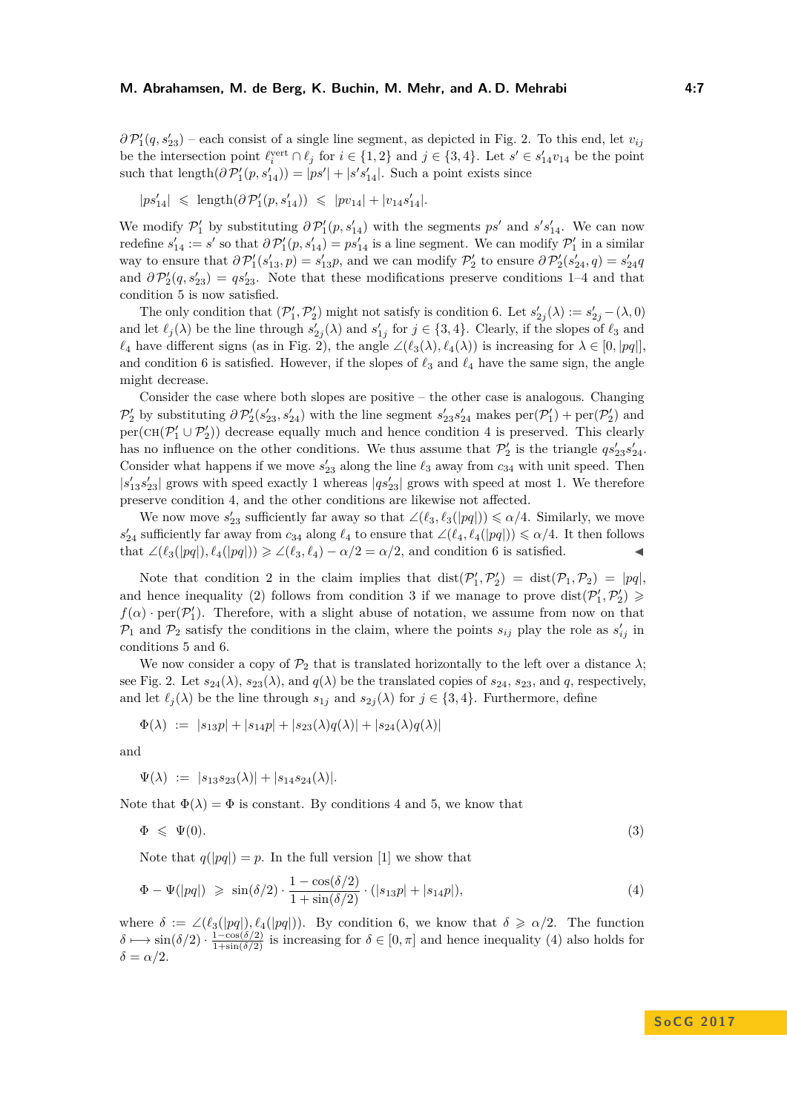$\partial P'_1(q, s'_{23})$  – each consist of a single line segment, as depicted in Fig. [2.](#page-5-4) To this end, let  $v_{ij}$ be the intersection point  $\ell_i^{\text{vert}} \cap \ell_j$  for  $i \in \{1, 2\}$  and  $j \in \{3, 4\}$ . Let  $s' \in s'_{14}v_{14}$  be the point such that  $\text{length}(\partial \mathcal{P}'_1(p, s'_{14})) = |ps'| + |s's'_{14}|$ . Such a point exists since

$$
|p s_{14}'| \leqslant \text{ length}(\partial \mathcal{P}_1'(p, s_{14}')) \leqslant |p v_{14}| + |v_{14} s_{14}'|.
$$

We modify  $\mathcal{P}'_1$  by substituting  $\partial \mathcal{P}'_1(p, s'_{14})$  with the segments  $ps'$  and  $s's'_{14}$ . We can now redefine  $s'_{14} := s'$  so that  $\partial \mathcal{P}'_1(p, s'_{14}) = ps'_{14}$  is a line segment. We can modify  $\mathcal{P}'_1$  in a similar way to ensure that  $\partial P'_1(s'_{13}, p) = s'_{13}p$ , and we can modify  $P'_2$  to ensure  $\partial P'_2(s'_{24}, q) = s'_{24}q$ and  $\partial \mathcal{P}'_2(q, s'_{23}) = q s'_{23}$ . Note that these modifications preserve conditions [1–](#page-5-1)[4](#page-5-2) and that condition [5](#page-5-3) is now satisfied.

The only condition that  $(\mathcal{P}'_1, \mathcal{P}'_2)$  might not satisfy is condition [6.](#page-5-5) Let  $s'_{2j}(\lambda) := s'_{2j} - (\lambda, 0)$ and let  $\ell_j(\lambda)$  be the line through  $s'_{2j}(\lambda)$  and  $s'_{1j}$  for  $j \in \{3, 4\}$ . Clearly, if the slopes of  $\ell_3$  and  $\ell_4$  have different signs (as in Fig. [2\)](#page-5-4), the angle ∠( $\ell_3(\lambda)$ ,  $\ell_4(\lambda)$ ) is increasing for  $\lambda \in [0, |pq|]$ , and condition [6](#page-5-5) is satisfied. However, if the slopes of  $\ell_3$  and  $\ell_4$  have the same sign, the angle might decrease.

Consider the case where both slopes are positive – the other case is analogous. Changing  $\mathcal{P}_2'$  by substituting  $\partial \mathcal{P}_2'(s'_{23}, s'_{24})$  with the line segment  $s'_{23}s'_{24}$  makes  $\text{per}(\mathcal{P}_1') + \text{per}(\mathcal{P}_2')$  and  $per(CH(\mathcal{P}_1' \cup \mathcal{P}_2'))$  decrease equally much and hence condition [4](#page-5-2) is preserved. This clearly has no influence on the other conditions. We thus assume that  $\mathcal{P}'_2$  is the triangle  $qs'_{23}s'_{24}$ . Consider what happens if we move  $s'_{23}$  along the line  $\ell_3$  away from  $c_{34}$  with unit speed. Then  $|s'_{13}s'_{23}|$  grows with speed exactly 1 whereas  $|qs'_{23}|$  grows with speed at most 1. We therefore preserve condition [4,](#page-5-2) and the other conditions are likewise not affected.

We now move  $s'_{23}$  sufficiently far away so that  $\angle(\ell_3, \ell_3(|pq|)) \le \alpha/4$ . Similarly, we move  $s'_{24}$  sufficiently far away from  $c_{34}$  along  $\ell_4$  to ensure that  $\angle(\ell_4, \ell_4(|pq|)) \leq \alpha/4$ . It then follows that  $\angle(\ell_3(|pq|), \ell_4(|pq|)) \geq \angle(\ell_3, \ell_4) - \alpha/2 = \alpha/2$ , and condition [6](#page-5-5) is satisfied.

Note that condition [2](#page-5-6) in the claim implies that  $dist(\mathcal{P}'_1, \mathcal{P}'_2) = dist(\mathcal{P}_1, \mathcal{P}_2) = |pq|$ , and hence inequality [\(2\)](#page-5-7) follows from condition [3](#page-5-8) if we manage to prove  $dist(P'_1, P'_2) \geq$  $f(\alpha)$  · per( $\mathcal{P}'_1$ ). Therefore, with a slight abuse of notation, we assume from now on that  $\mathcal{P}_1$  and  $\mathcal{P}_2$  satisfy the conditions in the claim, where the points  $s_{ij}$  play the role as  $s'_{ij}$  in conditions [5](#page-5-3) and [6.](#page-5-5)

We now consider a copy of  $\mathcal{P}_2$  that is translated horizontally to the left over a distance  $\lambda$ ; see Fig. [2.](#page-5-4) Let  $s_{24}(\lambda)$ ,  $s_{23}(\lambda)$ , and  $q(\lambda)$  be the translated copies of  $s_{24}$ ,  $s_{23}$ , and  $q$ , respectively, and let  $\ell_j(\lambda)$  be the line through  $s_{1j}$  and  $s_{2j}(\lambda)$  for  $j \in \{3, 4\}$ . Furthermore, define

$$
\Phi(\lambda) \; := \; |s_{13}p| + |s_{14}p| + |s_{23}(\lambda)q(\lambda)| + |s_{24}(\lambda)q(\lambda)|
$$

and

<span id="page-6-1"></span>
$$
\Psi(\lambda) := |s_{13}s_{23}(\lambda)| + |s_{14}s_{24}(\lambda)|.
$$

Note that  $\Phi(\lambda) = \Phi$  is constant. By conditions [4](#page-5-2) and [5,](#page-5-3) we know that

<span id="page-6-0"></span>
$$
\Phi \leqslant \Psi(0). \tag{3}
$$

Note that  $q(|pq|) = p$ . In the full version [\[1\]](#page-14-16) we show that

$$
\Phi - \Psi(|pq|) \geqslant \sin(\delta/2) \cdot \frac{1 - \cos(\delta/2)}{1 + \sin(\delta/2)} \cdot (|s_{13}p| + |s_{14}p|),\tag{4}
$$

where  $\delta := \angle(\ell_3(|pq|), \ell_4(|pq|)).$  By condition [6,](#page-5-5) we know that  $\delta \geq \alpha/2$ . The function  $\delta \mapsto \sin(\delta/2) \cdot \frac{1-\cos(\delta/2)}{1+\sin(\delta/2)}$  is increasing for  $\delta \in [0, \pi]$  and hence inequality [\(4\)](#page-6-0) also holds for  $δ = α/2$ .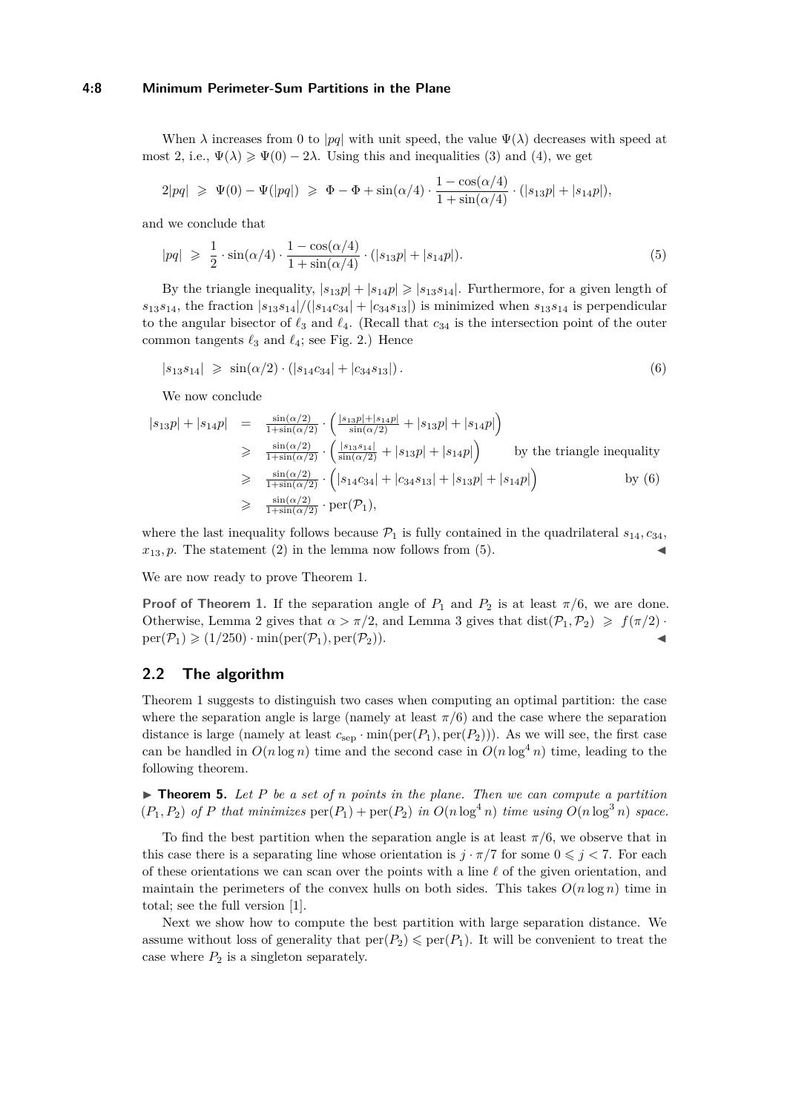#### **4:8 Minimum Perimeter-Sum Partitions in the Plane**

When  $\lambda$  increases from 0 to |*pq*| with unit speed, the value  $\Psi(\lambda)$  decreases with speed at most 2, i.e.,  $\Psi(\lambda) \geq \Psi(0) - 2\lambda$ . Using this and inequalities [\(3\)](#page-6-1) and [\(4\)](#page-6-0), we get

$$
2|pq| \geq \Psi(0) - \Psi(|pq|) \geq \Phi - \Phi + \sin(\alpha/4) \cdot \frac{1 - \cos(\alpha/4)}{1 + \sin(\alpha/4)} \cdot (|s_{13}p| + |s_{14}p|),
$$

and we conclude that

<span id="page-7-1"></span>
$$
|pq| \geqslant \frac{1}{2} \cdot \sin(\alpha/4) \cdot \frac{1 - \cos(\alpha/4)}{1 + \sin(\alpha/4)} \cdot (|s_{13}p| + |s_{14}p|). \tag{5}
$$

By the triangle inequality,  $|s_{13}p| + |s_{14}p| \geq |s_{13}s_{14}|$ . Furthermore, for a given length of  $s_{13}s_{14}$ , the fraction  $|s_{13}s_{14}|/(|s_{14}c_{34}| + |c_{34}s_{13}|)$  is minimized when  $s_{13}s_{14}$  is perpendicular to the angular bisector of  $\ell_3$  and  $\ell_4$ . (Recall that  $c_{34}$  is the intersection point of the outer common tangents  $\ell_3$  and  $\ell_4$ ; see Fig. [2.](#page-5-4)) Hence

<span id="page-7-0"></span>
$$
|s_{13}s_{14}| \geqslant \sin(\alpha/2) \cdot (|s_{14}c_{34}| + |c_{34}s_{13}|). \tag{6}
$$

We now conclude

$$
|s_{13}p| + |s_{14}p| = \frac{\sin(\alpha/2)}{1+\sin(\alpha/2)} \cdot \left(\frac{|s_{13}p|+|s_{14}p|}{\sin(\alpha/2)} + |s_{13}p|+|s_{14}p|\right)
$$
  
\n
$$
\geq \frac{\sin(\alpha/2)}{1+\sin(\alpha/2)} \cdot \left(\frac{|s_{13}s_{14}|}{\sin(\alpha/2)} + |s_{13}p|+|s_{14}p|\right)
$$
 by the triangle inequality  
\n
$$
\geq \frac{\sin(\alpha/2)}{1+\sin(\alpha/2)} \cdot \left(|s_{14}c_{34}|+|c_{34}s_{13}|+|s_{13}p|+|s_{14}p|\right)
$$
 by (6)  
\n
$$
\geq \frac{\sin(\alpha/2)}{1+\sin(\alpha/2)} \cdot \text{per}(\mathcal{P}_1),
$$

where the last inequality follows because  $P_1$  is fully contained in the quadrilateral  $s_{14}, c_{34}$ .  $x_{13}$ , p. The statement [\(2\)](#page-5-7) in the lemma now follows from [\(5\)](#page-7-1).

We are now ready to prove Theorem [1.](#page-3-0)

**Proof of Theorem [1.](#page-3-0)** If the separation angle of  $P_1$  and  $P_2$  is at least  $\pi/6$ , we are done. Otherwise, Lemma [2](#page-4-1) gives that  $\alpha > \pi/2$ , and Lemma [3](#page-5-0) gives that dist $(\mathcal{P}_1, \mathcal{P}_2) \geq f(\pi/2)$ .  $per(\mathcal{P}_1) \geq (1/250) \cdot min(per(\mathcal{P}_1), per(\mathcal{P}_2)).$ 

# **2.2 The algorithm**

Theorem [1](#page-3-0) suggests to distinguish two cases when computing an optimal partition: the case where the separation angle is large (namely at least  $\pi/6$ ) and the case where the separation distance is large (namely at least  $c_{\text{sep}} \cdot \min(\text{per}(P_1), \text{per}(P_2))$ ). As we will see, the first case can be handled in  $O(n \log n)$  time and the second case in  $O(n \log^4 n)$  time, leading to the following theorem.

<span id="page-7-2"></span>I **Theorem 5.** *Let P be a set of n points in the plane. Then we can compute a partition*  $(P_1, P_2)$  of P that minimizes  $\text{per}(P_1) + \text{per}(P_2)$  in  $O(n \log^4 n)$  time using  $O(n \log^3 n)$  space.

To find the best partition when the separation angle is at least  $\pi/6$ , we observe that in this case there is a separating line whose orientation is  $j \cdot \pi/7$  for some  $0 \leq j < 7$ . For each of these orientations we can scan over the points with a line  $\ell$  of the given orientation, and maintain the perimeters of the convex hulls on both sides. This takes  $O(n \log n)$  time in total; see the full version [\[1\]](#page-14-16).

Next we show how to compute the best partition with large separation distance. We assume without loss of generality that  $\text{per}(P_2) \leq \text{per}(P_1)$ . It will be convenient to treat the case where  $P_2$  is a singleton separately.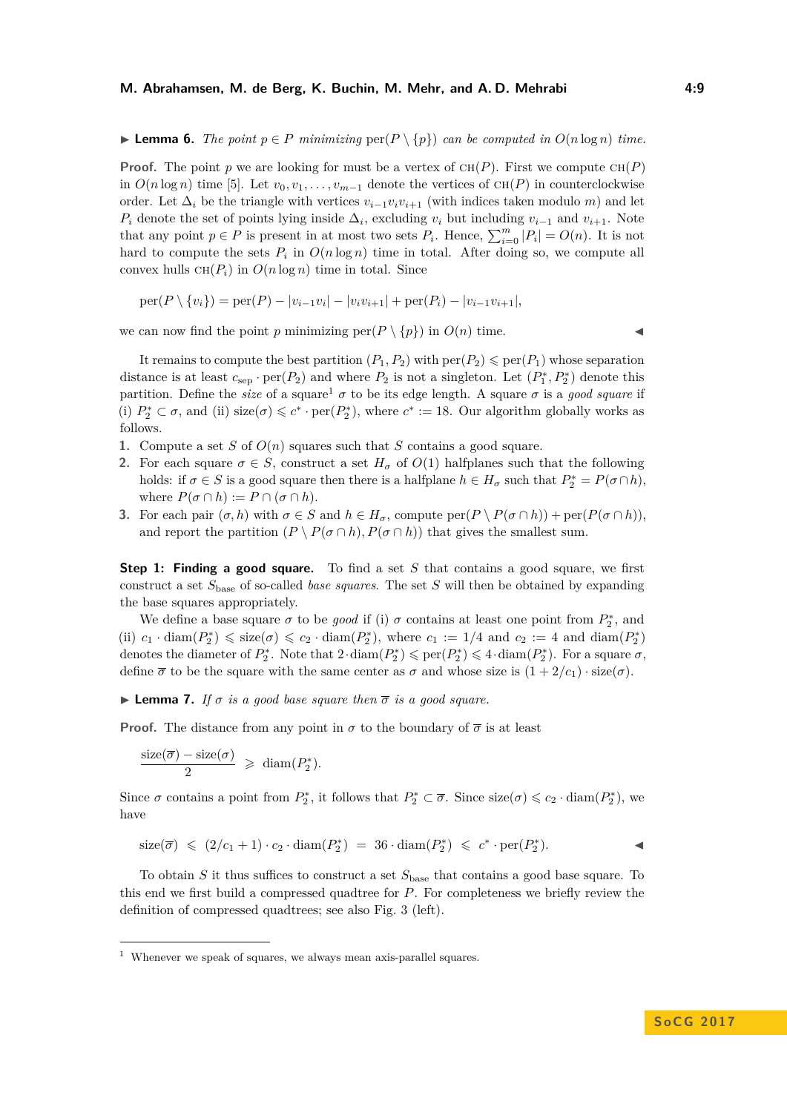#### **M. Abrahamsen, M. de Berg, K. Buchin, M. Mehr, and A. D. Mehrabi 4:9**

▶ **Lemma 6.** *The point*  $p \in P$  *minimizing*  $\text{per}(P \setminus \{p\})$  *can be computed in*  $O(n \log n)$  *time.* 

**Proof.** The point *p* we are looking for must be a vertex of  $CH(P)$ . First we compute  $CH(P)$ in  $O(n \log n)$  time [\[5\]](#page-14-17). Let  $v_0, v_1, \ldots, v_{m-1}$  denote the vertices of  $CH(P)$  in counterclockwise order. Let  $\Delta_i$  be the triangle with vertices  $v_{i-1}v_iv_{i+1}$  (with indices taken modulo *m*) and let  $P_i$  denote the set of points lying inside  $\Delta_i$ , excluding  $v_i$  but including  $v_{i-1}$  and  $v_{i+1}$ . Note that any point  $p \in P$  is present in at most two sets  $P_i$ . Hence,  $\sum_{i=0}^{m} |P_i| = O(n)$ . It is not hard to compute the sets  $P_i$  in  $O(n \log n)$  time in total. After doing so, we compute all convex hulls  $CH(P_i)$  in  $O(n \log n)$  time in total. Since

$$
\text{per}(P \setminus \{v_i\}) = \text{per}(P) - |v_{i-1}v_i| - |v_i v_{i+1}| + \text{per}(P_i) - |v_{i-1} v_{i+1}|,
$$

we can now find the point *p* minimizing per $(P \setminus \{p\})$  in  $O(n)$  time.

It remains to compute the best partition  $(P_1, P_2)$  with  $\text{per}(P_2) \leq \text{per}(P_1)$  whose separation distance is at least  $c_{\text{sep}} \cdot \text{per}(P_2)$  and where  $P_2$  is not a singleton. Let  $(P_1^*, P_2^*)$  denote this partition. Define the *size* of a square<sup>[1](#page-8-0)</sup>  $\sigma$  to be its edge length. A square  $\sigma$  is a *good square* if (i)  $P_2^* \subset \sigma$ , and (ii) size( $\sigma$ )  $\leqslant c^* \cdot \text{per}(P_2^*)$ , where  $c^* := 18$ . Our algorithm globally works as follows.

- **1.** Compute a set *S* of *O*(*n*) squares such that *S* contains a good square.
- **2.** For each square  $\sigma \in S$ , construct a set  $H_{\sigma}$  of  $O(1)$  halfplanes such that the following holds: if  $\sigma \in S$  is a good square then there is a halfplane  $h \in H_{\sigma}$  such that  $P_2^* = P(\sigma \cap h)$ , where  $P(\sigma \cap h) := P \cap (\sigma \cap h)$ .
- **3.** For each pair  $(\sigma, h)$  with  $\sigma \in S$  and  $h \in H_{\sigma}$ , compute per $(P \setminus P(\sigma \cap h)) + \text{per}(P(\sigma \cap h))$ . and report the partition  $(P \setminus P(\sigma \cap h), P(\sigma \cap h))$  that gives the smallest sum.

**Step 1: Finding a good square.** To find a set *S* that contains a good square, we first construct a set *S*base of so-called *base squares*. The set *S* will then be obtained by expanding the base squares appropriately.

We define a base square  $\sigma$  to be *good* if (i)  $\sigma$  contains at least one point from  $P_2^*$ , and (ii)  $c_1 \cdot \text{diam}(P_2^*) \leqslant \text{size}(\sigma) \leqslant c_2 \cdot \text{diam}(P_2^*)$ , where  $c_1 := 1/4$  and  $c_2 := 4$  and  $\text{diam}(P_2^*)$ denotes the diameter of  $P_2^*$ . Note that  $2 \cdot \text{diam}(P_2^*) \leqslant \text{per}(P_2^*) \leqslant 4 \cdot \text{diam}(P_2^*)$ . For a square  $\sigma$ , define  $\overline{\sigma}$  to be the square with the same center as  $\sigma$  and whose size is  $(1 + 2/c_1) \cdot \text{size}(\sigma)$ .

**I Lemma 7.** *If*  $\sigma$  *is a good base square then*  $\overline{\sigma}$  *is a good square.* 

**Proof.** The distance from any point in  $\sigma$  to the boundary of  $\bar{\sigma}$  is at least

$$
\frac{\operatorname{size}(\overline{\sigma}) - \operatorname{size}(\sigma)}{2} \geq \operatorname{diam}(P_2^*).
$$

Since  $\sigma$  contains a point from  $P_2^*$ , it follows that  $P_2^* \subset \overline{\sigma}$ . Since  $size(\sigma) \leqslant c_2 \cdot diam(P_2^*)$ , we have

$$
\text{size}(\overline{\sigma}) \leqslant (2/c_1 + 1) \cdot c_2 \cdot \text{diam}(P_2^*) = 36 \cdot \text{diam}(P_2^*) \leqslant c^* \cdot \text{per}(P_2^*).
$$

To obtain *S* it thus suffices to construct a set *S*base that contains a good base square. To this end we first build a compressed quadtree for *P*. For completeness we briefly review the definition of compressed quadtrees; see also Fig. [3](#page-9-0) (left).

<span id="page-8-0"></span> $1$  Whenever we speak of squares, we always mean axis-parallel squares.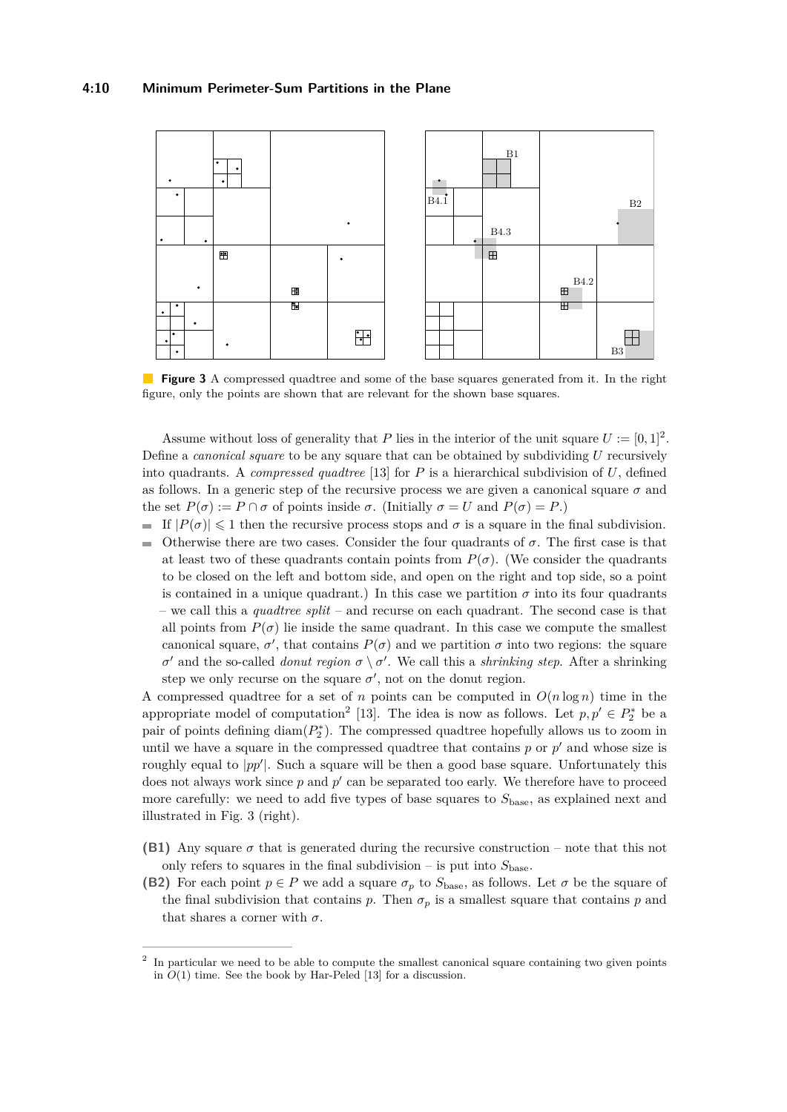#### **4:10 Minimum Perimeter-Sum Partitions in the Plane**

<span id="page-9-0"></span>

**Figure 3** A compressed quadtree and some of the base squares generated from it. In the right figure, only the points are shown that are relevant for the shown base squares.

Assume without loss of generality that *P* lies in the interior of the unit square  $U := [0, 1]^2$ . Define a *canonical square* to be any square that can be obtained by subdividing *U* recursively into quadrants. A *compressed quadtree* [\[13\]](#page-14-18) for *P* is a hierarchical subdivision of *U*, defined as follows. In a generic step of the recursive process we are given a canonical square  $\sigma$  and the set  $P(\sigma) := P \cap \sigma$  of points inside  $\sigma$ . (Initially  $\sigma = U$  and  $P(\sigma) = P$ .)

If  $|P(\sigma)| \leq 1$  then the recursive process stops and  $\sigma$  is a square in the final subdivision. Otherwise there are two cases. Consider the four quadrants of  $\sigma$ . The first case is that  $\overline{a}$ at least two of these quadrants contain points from  $P(\sigma)$ . (We consider the quadrants to be closed on the left and bottom side, and open on the right and top side, so a point is contained in a unique quadrant.) In this case we partition  $\sigma$  into its four quadrants – we call this a *quadtree split* – and recurse on each quadrant. The second case is that all points from  $P(\sigma)$  lie inside the same quadrant. In this case we compute the smallest canonical square,  $\sigma'$ , that contains  $P(\sigma)$  and we partition  $\sigma$  into two regions: the square *σ*  $\sigma$  and the so-called *donut region*  $\sigma \setminus \sigma'$ . We call this a *shrinking step*. After a shrinking step we only recurse on the square  $\sigma'$ , not on the donut region.

A compressed quadtree for a set of *n* points can be computed in  $O(n \log n)$  time in the appropriate model of computation<sup>[2](#page-9-1)</sup> [\[13\]](#page-14-18). The idea is now as follows. Let  $p, p' \in P_2^*$  be a pair of points defining  $\text{diam}(P_2^*)$ . The compressed quadtree hopefully allows us to zoom in until we have a square in the compressed quadtree that contains  $p$  or  $p'$  and whose size is roughly equal to  $|pp'|$ . Such a square will be then a good base square. Unfortunately this does not always work since  $p$  and  $p'$  can be separated too early. We therefore have to proceed more carefully: we need to add five types of base squares to *S*base, as explained next and illustrated in Fig. [3](#page-9-0) (right).

- **(B1)** Any square  $\sigma$  that is generated during the recursive construction note that this not only refers to squares in the final subdivision – is put into  $S_{base}$ .
- **(B2)** For each point  $p \in P$  we add a square  $\sigma_p$  to  $S_{base}$ , as follows. Let  $\sigma$  be the square of the final subdivision that contains *p*. Then  $\sigma_p$  is a smallest square that contains *p* and that shares a corner with  $\sigma$ .

<span id="page-9-1"></span><sup>2</sup> In particular we need to be able to compute the smallest canonical square containing two given points in  $O(1)$  time. See the book by Har-Peled [\[13\]](#page-14-18) for a discussion.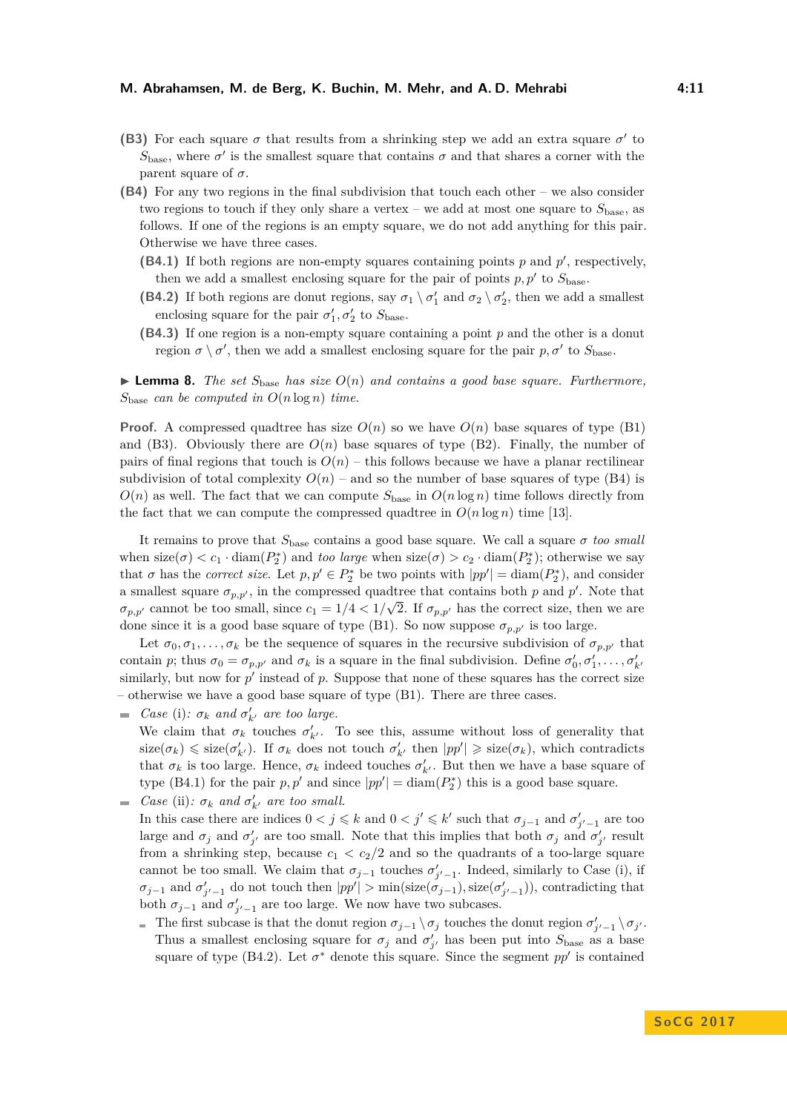- **(B3)** For each square  $\sigma$  that results from a shrinking step we add an extra square  $\sigma'$  to  $S_{\text{base}}$ , where  $\sigma'$  is the smallest square that contains  $\sigma$  and that shares a corner with the parent square of  $\sigma$ .
- **(B4)** For any two regions in the final subdivision that touch each other we also consider two regions to touch if they only share a vertex – we add at most one square to  $S_{base}$ , as follows. If one of the regions is an empty square, we do not add anything for this pair. Otherwise we have three cases.
	- **(B4.1)** If both regions are non-empty squares containing points  $p$  and  $p'$ , respectively, then we add a smallest enclosing square for the pair of points  $p, p'$  to  $S_{base}$ .
	- **(B4.2)** If both regions are donut regions, say  $\sigma_1 \setminus \sigma_1'$  and  $\sigma_2 \setminus \sigma_2'$ , then we add a smallest enclosing square for the pair  $\sigma'_{1}, \sigma'_{2}$  to  $S_{base}$ .
	- **(B4.3)** If one region is a non-empty square containing a point *p* and the other is a donut region  $\sigma \setminus \sigma'$ , then we add a smallest enclosing square for the pair  $p, \sigma'$  to  $S_{base}$ .

**Lemma 8.** *The set*  $S_{base}$  *has size*  $O(n)$  *and contains a good base square. Furthermore,*  $S_{\text{base}}$  *can be computed in*  $O(n \log n)$  *time.* 

**Proof.** A compressed quadtree has size  $O(n)$  so we have  $O(n)$  base squares of type (B1) and (B3). Obviously there are  $O(n)$  base squares of type (B2). Finally, the number of pairs of final regions that touch is  $O(n)$  – this follows because we have a planar rectilinear subdivision of total complexity  $O(n)$  – and so the number of base squares of type (B4) is  $O(n)$  as well. The fact that we can compute  $S_{base}$  in  $O(n \log n)$  time follows directly from the fact that we can compute the compressed quadtree in  $O(n \log n)$  time [\[13\]](#page-14-18).

It remains to prove that  $S_{base}$  contains a good base square. We call a square  $\sigma$  *too small* when  $size(\sigma) < c_1 \cdot diam(P_2^*)$  and *too large* when  $size(\sigma) > c_2 \cdot diam(P_2^*)$ ; otherwise we say that  $\sigma$  has the *correct size*. Let  $p, p' \in P_2^*$  be two points with  $|pp'| = \text{diam}(P_2^*)$ , and consider a smallest square  $\sigma_{p,p'}$ , in the compressed quadtree that contains both *p* and *p'*. Note that  $\sigma_{p,p'}$  cannot be too small, since  $c_1 = 1/4 < 1/\sqrt{2}$ . If  $\sigma_{p,p'}$  has the correct size, then we are done since it is a good base square of type (B1). So now suppose  $\sigma_{p,p'}$  is too large.

Let  $\sigma_0, \sigma_1, \ldots, \sigma_k$  be the sequence of squares in the recursive subdivision of  $\sigma_{p,p'}$  that contain *p*; thus  $\sigma_0 = \sigma_{p,p'}$  and  $\sigma_k$  is a square in the final subdivision. Define  $\sigma'_0, \sigma'_1, \ldots, \sigma'_{k'}$ similarly, but now for  $p'$  instead of  $p$ . Suppose that none of these squares has the correct size – otherwise we have a good base square of type (B1). There are three cases.

- *Case* (i):  $\sigma_k$  *and*  $\sigma'_{k'}$  *are too large.* We claim that  $\sigma_k$  touches  $\sigma'_{k'}$ . To see this, assume without loss of generality that  $size(\sigma_k) \leq$  size( $\sigma'_{k'}$ ). If  $\sigma_k$  does not touch  $\sigma'_{k'}$  then  $|pp'| \geq$  size( $\sigma_k$ ), which contradicts that  $\sigma_k$  is too large. Hence,  $\sigma_k$  indeed touches  $\sigma'_{k'}$ . But then we have a base square of type (B4.1) for the pair  $p, p'$  and since  $|pp'| = \text{diam}(P_2^*)$  this is a good base square.
- *Case* (ii):  $\sigma_k$  *and*  $\sigma'_{k'}$  *are too small.* 
	- In this case there are indices  $0 < j \leq k$  and  $0 < j' \leq k'$  such that  $\sigma_{j-1}$  and  $\sigma'_{j'-1}$  are too large and  $\sigma_j$  and  $\sigma'_{j'}$  are too small. Note that this implies that both  $\sigma_j$  and  $\sigma'_{j'}$  result from a shrinking step, because  $c_1 < c_2/2$  and so the quadrants of a too-large square cannot be too small. We claim that  $\sigma_{j-1}$  touches  $\sigma'_{j'-1}$ . Indeed, similarly to Case (i), if  $\sigma_{j-1}$  and  $\sigma'_{j'-1}$  do not touch then  $|pp'| > \min(\text{size}(\sigma'_{j-1}), \text{size}(\sigma'_{j'-1}))$ , contradicting that both  $\sigma_{j-1}$  and  $\sigma'_{j'-1}$  are too large. We now have two subcases.
		- The first subcase is that the donut region  $\sigma_{j-1} \setminus \sigma_j$  touches the donut region  $\sigma'_{j'-1} \setminus \sigma_{j'}$ . Thus a smallest enclosing square for  $\sigma_j$  and  $\sigma'_{j'}$  has been put into  $S_{\text{base}}$  as a base square of type (B4.2). Let  $\sigma^*$  denote this square. Since the segment  $pp'$  is contained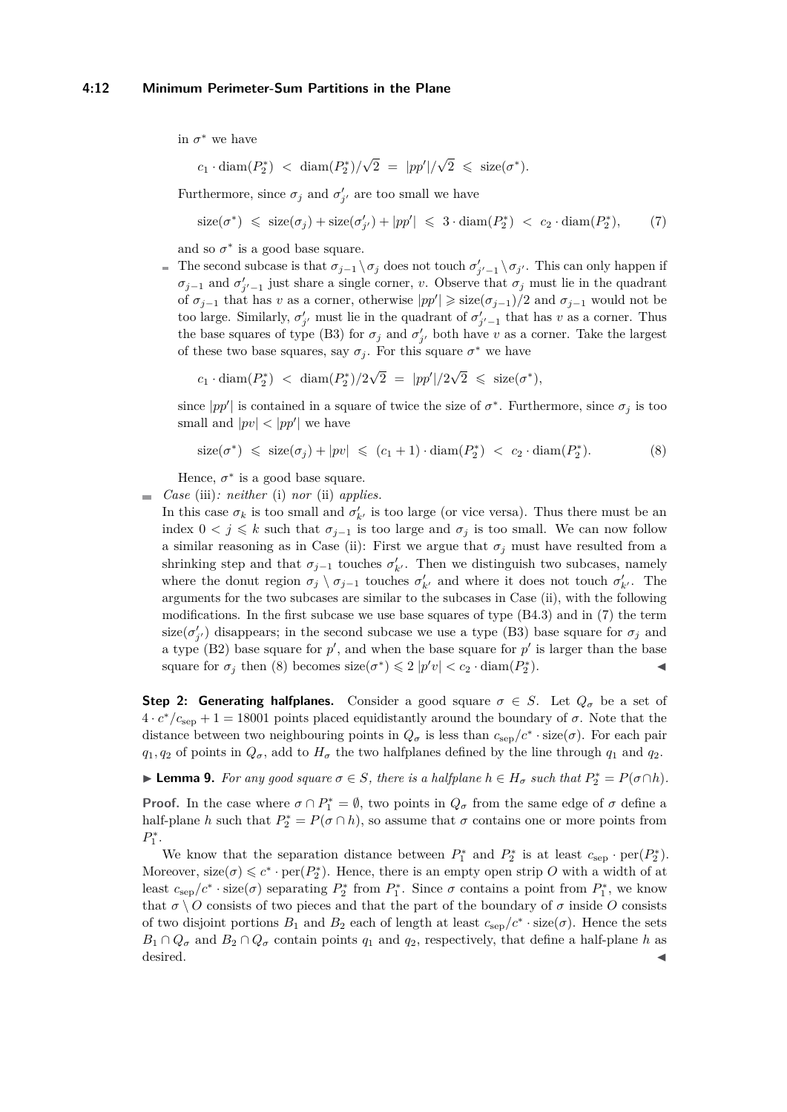#### **4:12 Minimum Perimeter-Sum Partitions in the Plane**

in  $\sigma^*$  we have

<span id="page-11-0"></span>
$$
c_1 \cdot \text{diam}(P_2^*) < \text{diam}(P_2^*)/\sqrt{2} = |pp'|/\sqrt{2} \leq \text{size}(\sigma^*).
$$

Furthermore, since  $\sigma_j$  and  $\sigma'_{j'}$  are too small we have

$$
\text{size}(\sigma^*) \leqslant \text{size}(\sigma_j) + \text{size}(\sigma'_{j'}) + |pp'| \leqslant 3 \cdot \text{diam}(P_2^*) < c_2 \cdot \text{diam}(P_2^*), \tag{7}
$$

and so  $\sigma^*$  is a good base square.

The second subcase is that  $\sigma_{j-1} \setminus \sigma_j$  does not touch  $\sigma'_{j'-1} \setminus \sigma_{j'}$ . This can only happen if  $\sigma_{j-1}$  and  $\sigma'_{j'-1}$  just share a single corner, *v*. Observe that  $\sigma_j$  must lie in the quadrant of  $\sigma_{j-1}$  that has *v* as a corner, otherwise  $|pp'| \geq$  size $(\sigma_{j-1})/2$  and  $\sigma_{j-1}$  would not be too large. Similarly,  $\sigma'_{j'}$  must lie in the quadrant of  $\sigma'_{j'-1}$  that has *v* as a corner. Thus the base squares of type (B3) for  $\sigma_j$  and  $\sigma'_{j'}$  both have *v* as a corner. Take the largest of these two base squares, say  $\sigma_j$ . For this square  $\sigma^*$  we have

 $c_1 \cdot \text{diam}(P_2^*) < \text{diam}(P_2^*)/2$  $\sqrt{2} = |pp'|/2$ √  $\overline{2} \leqslant \text{ size}(\sigma^*),$ 

since  $|pp'|$  is contained in a square of twice the size of  $\sigma^*$ . Furthermore, since  $\sigma_j$  is too small and  $|pv| < |pp'|$  we have

<span id="page-11-1"></span>
$$
\text{size}(\sigma^*) \leqslant \text{size}(\sigma_j) + |pv| \leqslant (c_1 + 1) \cdot \text{diam}(P_2^*) < c_2 \cdot \text{diam}(P_2^*). \tag{8}
$$

Hence,  $\sigma^*$  is a good base square.

*Case* (iii)*: neither* (i) *nor* (ii) *applies.*

In this case  $\sigma_k$  is too small and  $\sigma'_{k'}$  is too large (or vice versa). Thus there must be an index  $0 < j \leq k$  such that  $\sigma_{j-1}$  is too large and  $\sigma_j$  is too small. We can now follow a similar reasoning as in Case (ii): First we argue that  $\sigma_j$  must have resulted from a shrinking step and that  $\sigma_{j-1}$  touches  $\sigma'_{k'}$ . Then we distinguish two subcases, namely where the donut region  $\sigma_j \setminus \sigma_{j-1}$  touches  $\sigma'_{k'}$  and where it does not touch  $\sigma'_{k'}$ . The arguments for the two subcases are similar to the subcases in Case (ii), with the following modifications. In the first subcase we use base squares of type (B4.3) and in [\(7\)](#page-11-0) the term size( $\sigma'_{j'}$ ) disappears; in the second subcase we use a type (B3) base square for  $\sigma_j$  and a type (B2) base square for  $p'$ , and when the base square for  $p'$  is larger than the base square for  $\sigma_j$  then [\(8\)](#page-11-1) becomes size( $\sigma^*$ )  $\leq 2$  |*p'v*|  $< c_2 \cdot$  diam( $P_2^*$ )  $\blacksquare$ ).

**Step 2: Generating halfplanes.** Consider a good square  $\sigma \in S$ . Let  $Q_{\sigma}$  be a set of  $4 \cdot c^*/c_{\rm sep} + 1 = 18001$  points placed equidistantly around the boundary of  $\sigma$ . Note that the distance between two neighbouring points in  $Q_{\sigma}$  is less than  $c_{\rm sep}/c^* \cdot \text{size}(\sigma)$ . For each pair  $q_1, q_2$  of points in  $Q_\sigma$ , add to  $H_\sigma$  the two halfplanes defined by the line through  $q_1$  and  $q_2$ .

► **Lemma 9.** *For any good square*  $\sigma \in S$ *, there is a halfplane*  $h \in H_{\sigma}$  *such that*  $P_2^* = P(\sigma \cap h)$ *.* 

**Proof.** In the case where  $\sigma \cap P_1^* = \emptyset$ , two points in  $Q_{\sigma}$  from the same edge of  $\sigma$  define a half-plane *h* such that  $P_2^* = P(\sigma \cap h)$ , so assume that  $\sigma$  contains one or more points from  $P_1^*$ .

We know that the separation distance between  $P_1^*$  and  $P_2^*$  is at least  $c_{\text{sep}} \cdot \text{per}(P_2^*)$ . Moreover,  $size(\sigma) \leq c^* \cdot per(P_2^*)$ . Hence, there is an empty open strip *O* with a width of at least  $c_{\rm sep}/c^* \cdot \text{size}(\sigma)$  separating  $P_2^*$  from  $P_1^*$ . Since  $\sigma$  contains a point from  $P_1^*$ , we know that  $\sigma \setminus O$  consists of two pieces and that the part of the boundary of  $\sigma$  inside *O* consists of two disjoint portions  $B_1$  and  $B_2$  each of length at least  $c_{\rm sep}/c^* \cdot \text{size}(\sigma)$ . Hence the sets  $B_1 \cap Q_{\sigma}$  and  $B_2 \cap Q_{\sigma}$  contain points  $q_1$  and  $q_2$ , respectively, that define a half-plane *h* as desired.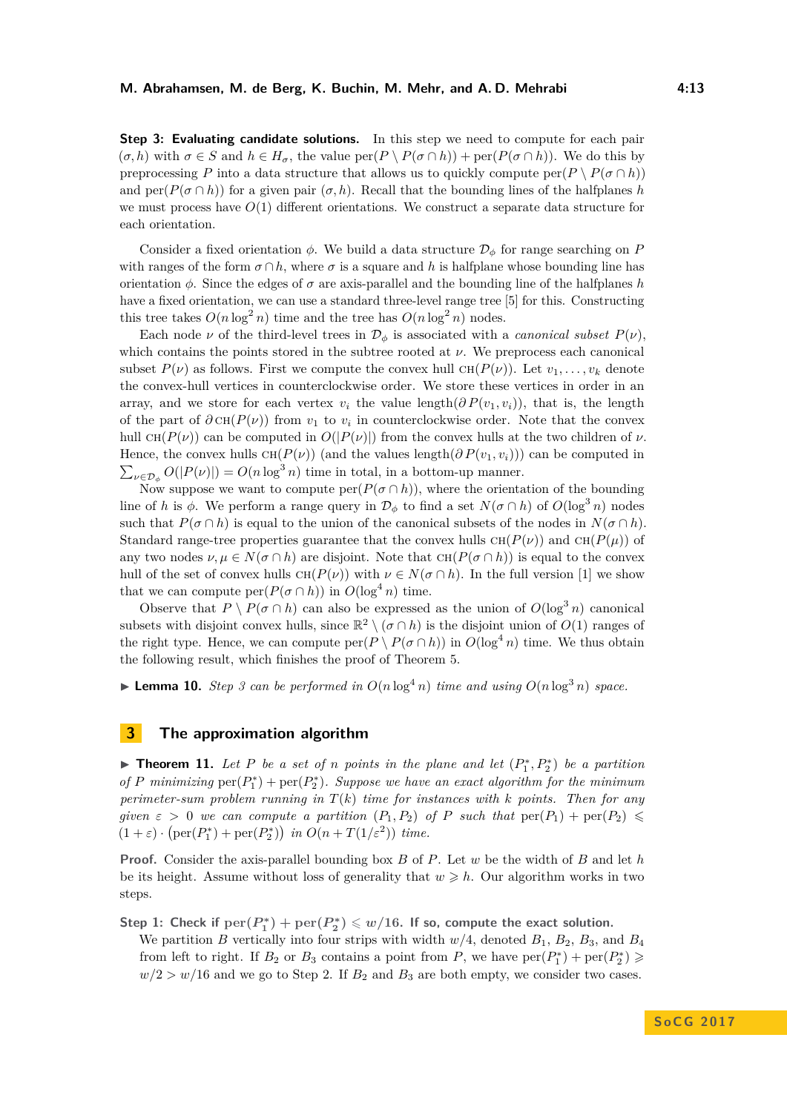**Step 3: Evaluating candidate solutions.** In this step we need to compute for each pair  $(\sigma, h)$  with  $\sigma \in S$  and  $h \in H_{\sigma}$ , the value  $\text{per}(P \setminus P(\sigma \cap h)) + \text{per}(P(\sigma \cap h))$ . We do this by preprocessing *P* into a data structure that allows us to quickly compute per $(P \setminus P(\sigma \cap h))$ and  $\text{per}(P(\sigma \cap h))$  for a given pair  $(\sigma, h)$ . Recall that the bounding lines of the halfplanes *h* we must process have  $O(1)$  different orientations. We construct a separate data structure for each orientation.

Consider a fixed orientation  $\phi$ . We build a data structure  $\mathcal{D}_{\phi}$  for range searching on *P* with ranges of the form  $\sigma \cap h$ , where  $\sigma$  is a square and h is halfplane whose bounding line has orientation  $\phi$ . Since the edges of  $\sigma$  are axis-parallel and the bounding line of the halfplanes *h* have a fixed orientation, we can use a standard three-level range tree [\[5\]](#page-14-17) for this. Constructing this tree takes  $O(n \log^2 n)$  time and the tree has  $O(n \log^2 n)$  nodes.

Each node *ν* of the third-level trees in  $\mathcal{D}_{\phi}$  is associated with a *canonical subset*  $P(\nu)$ , which contains the points stored in the subtree rooted at *ν*. We preprocess each canonical subset  $P(\nu)$  as follows. First we compute the convex hull  $CH(P(\nu))$ . Let  $v_1, \ldots, v_k$  denote the convex-hull vertices in counterclockwise order. We store these vertices in order in an array, and we store for each vertex  $v_i$  the value length( $\partial P(v_1, v_i)$ ), that is, the length of the part of  $\partial$  CH( $P(\nu)$ ) from  $v_1$  to  $v_i$  in counterclockwise order. Note that the convex hull  $CH(P(\nu))$  can be computed in  $O(|P(\nu)|)$  from the convex hulls at the two children of  $\nu$ . Hence, the convex hulls  $CH(P(\nu))$  (and the values length( $\partial P(v_1, v_i)$ )) can be computed in  $\sum_{\nu \in \mathcal{D}_{\phi}} O(|P(\nu)|) = O(n \log^3 n)$  time in total, in a bottom-up manner.

Now suppose we want to compute  $\text{per}(P(\sigma \cap h))$ , where the orientation of the bounding line of *h* is  $\phi$ . We perform a range query in  $\mathcal{D}_{\phi}$  to find a set  $N(\sigma \cap h)$  of  $O(\log^3 n)$  nodes such that  $P(\sigma \cap h)$  is equal to the union of the canonical subsets of the nodes in  $N(\sigma \cap h)$ . Standard range-tree properties guarantee that the convex hulls  $CH(P(\nu))$  and  $CH(P(\mu))$  of any two nodes  $\nu, \mu \in N(\sigma \cap h)$  are disjoint. Note that  $CH(P(\sigma \cap h))$  is equal to the convex hull of the set of convex hulls  $CH(P(\nu))$  with  $\nu \in N(\sigma \cap h)$ . In the full version [\[1\]](#page-14-16) we show that we can compute  $\text{per}(P(\sigma \cap h))$  in  $O(\log^4 n)$  time.

Observe that  $P \setminus P(\sigma \cap h)$  can also be expressed as the union of  $O(\log^3 n)$  canonical subsets with disjoint convex hulls, since  $\mathbb{R}^2 \setminus (\sigma \cap h)$  is the disjoint union of  $O(1)$  ranges of the right type. Hence, we can compute  $\text{per}(P \setminus P(\sigma \cap h))$  in  $O(\log^4 n)$  time. We thus obtain the following result, which finishes the proof of Theorem [5.](#page-7-2)

 $\blacktriangleright$  **Lemma 10.** *Step 3 can be performed in*  $O(n \log^4 n)$  *time and using*  $O(n \log^3 n)$  *space.* 

## **3 The approximation algorithm**

**Fineorem 11.** Let P be a set of *n* points in the plane and let  $(P_1^*, P_2^*)$  be a partition of P minimizing  $per(P_1^*) + per(P_2^*)$ *. Suppose we have an exact algorithm for the minimum perimeter-sum problem running in T*(*k*) *time for instances with k points. Then for any given*  $\varepsilon > 0$  *we can compute a partition*  $(P_1, P_2)$  *of P such that*  $\text{per}(P_1) + \text{per}(P_2) \le$  $(1+\varepsilon) \cdot (\text{per}(P_1^*) + \text{per}(P_2^*))$  *in*  $O(n+T(1/\varepsilon^2))$  *time.* 

**Proof.** Consider the axis-parallel bounding box *B* of *P*. Let *w* be the width of *B* and let *h* be its height. Assume without loss of generality that  $w \geqslant h$ . Our algorithm works in two steps.

Step 1: Check if  $\text{per}(P_1^*) + \text{per}(P_2^*) \leqslant w/16$ . If so, compute the exact solution.

We partition *B* vertically into four strips with width  $w/4$ , denoted  $B_1$ ,  $B_2$ ,  $B_3$ , and  $B_4$ from left to right. If  $B_2$  or  $B_3$  contains a point from *P*, we have  $\text{per}(P_1^*) + \text{per}(P_2^*) \geq 0$  $w/2 > w/16$  and we go to Step 2. If  $B_2$  and  $B_3$  are both empty, we consider two cases.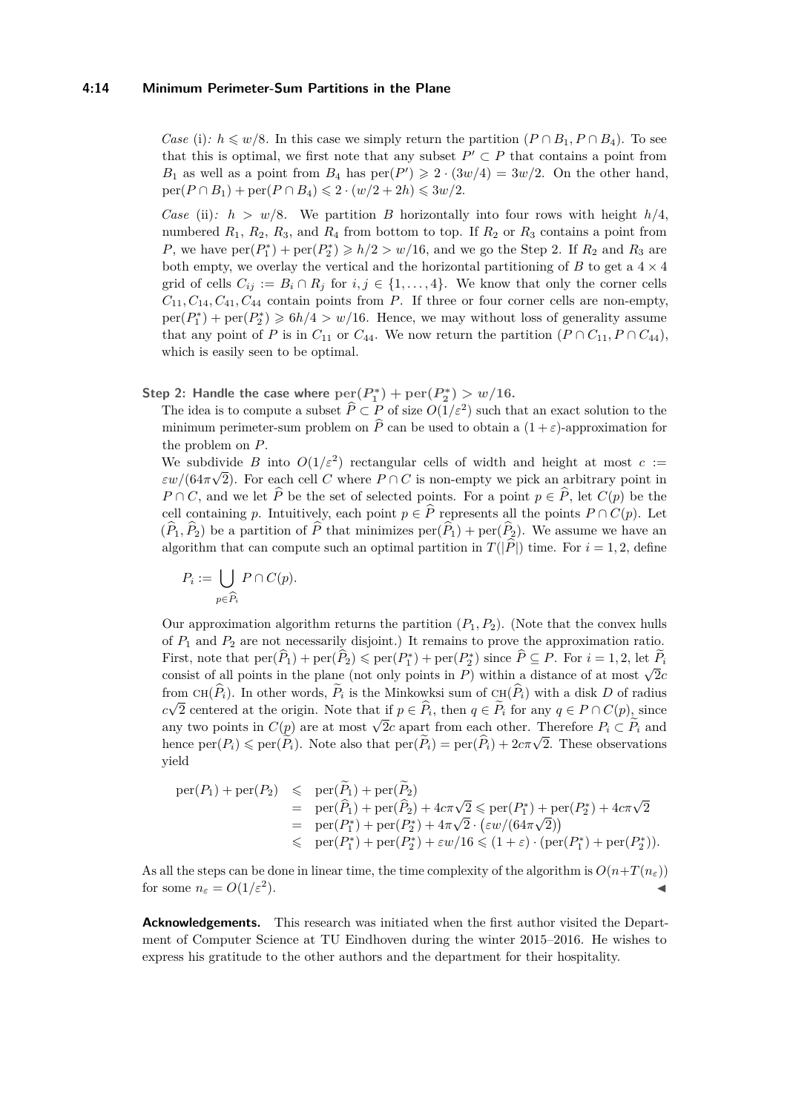*Case* (i):  $h \leq w/8$ . In this case we simply return the partition  $(P \cap B_1, P \cap B_4)$ . To see that this is optimal, we first note that any subset  $P' \subset P$  that contains a point from  $B_1$  as well as a point from  $B_4$  has  $per(P') \geq 2 \cdot (3w/4) = 3w/2$ . On the other hand,  $per(P \cap B_1) + per(P \cap B_4) \leq 2 \cdot (w/2 + 2h) \leq 3w/2.$ 

*Case* (ii):  $h > w/8$ . We partition *B* horizontally into four rows with height  $h/4$ , numbered  $R_1$ ,  $R_2$ ,  $R_3$ , and  $R_4$  from bottom to top. If  $R_2$  or  $R_3$  contains a point from *P*, we have  $\text{per}(P_1^*) + \text{per}(P_2^*) \geqslant h/2 > w/16$ , and we go the Step 2. If  $R_2$  and  $R_3$  are both empty, we overlay the vertical and the horizontal partitioning of  $B$  to get a  $4 \times 4$ grid of cells  $C_{ij} := B_i \cap R_j$  for  $i, j \in \{1, ..., 4\}$ . We know that only the corner cells  $C_{11}, C_{14}, C_{41}, C_{44}$  contain points from *P*. If three or four corner cells are non-empty,  $per(P_1^*) + per(P_2^*) \geqslant 6h/4 > w/16$ . Hence, we may without loss of generality assume that any point of *P* is in  $C_{11}$  or  $C_{44}$ . We now return the partition  $(P \cap C_{11}, P \cap C_{44})$ , which is easily seen to be optimal.

**Step 2: Handle the case where**  $\text{per}(P_1^*) + \text{per}(P_2^*) > w/16$ .

The idea is to compute a subset  $\hat{P} \subset P$  of size  $O(1/\varepsilon^2)$  such that an exact solution to the minimum perimeter-sum problem on  $\widehat{P}$  can be used to obtain a  $(1 + \varepsilon)$ -approximation for the problem on *P*.

We subdivide *B* into  $O(1/\varepsilon^2)$  rectangular cells of width and height at most  $c :=$  $\epsilon w/(64\pi\sqrt{2})$ . For each cell *C* where  $P \cap C$  is non-empty we pick an arbitrary point in *P* ∩ *C*, and we let  $\hat{P}$  be the set of selected points. For a point  $p \in \hat{P}$ , let  $C(p)$  be the cell containing *p*. Intuitively, each point  $p \in \hat{P}$  represents all the points  $P \cap C(p)$ . Let  $(\widehat{P}_1, \widehat{P}_2)$  be a partition of  $\widehat{P}$  that minimizes per $(\widehat{P}_1)$  + per $(\widehat{P}_2)$ . We assume we have an algorithm that can compute such an optimal partition in  $T(|\hat{P}|)$  time. For  $i = 1, 2$ , define

$$
P_i := \bigcup_{p \in \widehat{P}_i} P \cap C(p).
$$

Our approximation algorithm returns the partition  $(P_1, P_2)$ . (Note that the convex hulls of  $P_1$  and  $P_2$  are not necessarily disjoint.) It remains to prove the approximation ratio. First, note that  $\text{per}(\widehat{P}_1) + \text{per}(\widehat{P}_2) \leq \text{per}(P_1^*) + \text{per}(P_2^*)$  since  $\widehat{P} \subseteq P$ . For  $i = 1, 2$ , let  $\widehat{P}_i$ consist of all points in the plane (not only points in *P*) within a distance of at most  $\sqrt{2}c$ from CH( $\hat{P}_i$ ). In other words,  $\tilde{P}_i$  is the Minkowksi sum of CH( $\hat{P}_i$ ) with a disk *D* of radius *c*√2 centered at the origin. Note that if *p* ∈ *P<sub>i</sub>*, then *q* ∈ *P<sub>i</sub>* for any *q* ∈ *P* ∩ *C*(*p*), since  $c\sqrt{2}$  centered at the origin. Note that if  $p \in F_i$ , then  $q \in F_i$  for any  $q \in F \cap C(p)$ , since any two points in  $C(p)$  are at most  $\sqrt{2}c$  apart from each other. Therefore  $P_i \subset \widetilde{P}_i$  and any two points in  $C(p)$  are at most  $\sqrt{2c}$  apart from each other. Therefore  $F_i \subset F_i$  and<br>hence  $\text{per}(P_i) \leq \text{per}(\widetilde{P}_i)$ . Note also that  $\text{per}(\widetilde{P}_i) = \text{per}(\widehat{P}_i) + 2c\pi\sqrt{2}$ . These observations yield

$$
\begin{array}{rcl}\n\text{per}(P_1) + \text{per}(P_2) & \leqslant & \text{per}(\widetilde{P}_1) + \text{per}(\widetilde{P}_2) \\
& = & \text{per}(\widehat{P}_1) + \text{per}(\widehat{P}_2) + 4c\pi\sqrt{2} \leqslant \text{per}(P_1^*) + \text{per}(P_2^*) + 4c\pi\sqrt{2} \\
& = & \text{per}(P_1^*) + \text{per}(P_2^*) + 4\pi\sqrt{2} \cdot \left(\varepsilon w/(64\pi\sqrt{2})\right) \\
& \leqslant & \text{per}(P_1^*) + \text{per}(P_2^*) + \varepsilon w/16 \leqslant (1 + \varepsilon) \cdot (\text{per}(P_1^*) + \text{per}(P_2^*)).\n\end{array}
$$

As all the steps can be done in linear time, the time complexity of the algorithm is  $O(n+T(n<sub>\epsilon</sub>)))$ for some  $n_{\varepsilon} = O(1/\varepsilon^2)$ .  $\blacksquare$ ).

**Acknowledgements.** This research was initiated when the first author visited the Department of Computer Science at TU Eindhoven during the winter 2015–2016. He wishes to express his gratitude to the other authors and the department for their hospitality.